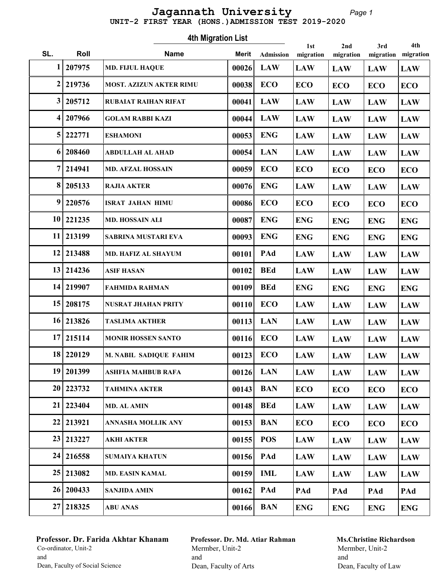#### Page 1 UNIT-2 FIRST YEAR (HONS.)ADMISSION TEST 2019-2020 Jagannath University

|                  |             | <b>4th Migration List</b>      |              | 1st              | 2nd        | 3rd        | 4th        |            |
|------------------|-------------|--------------------------------|--------------|------------------|------------|------------|------------|------------|
| SL.              | Roll        | <b>Name</b>                    | <b>Merit</b> | <b>Admission</b> | migration  | migration  | migration  | migration  |
| 1                | 207975      | <b>MD. FIJUL HAQUE</b>         | 00026        | <b>LAW</b>       | <b>LAW</b> | <b>LAW</b> | <b>LAW</b> | <b>LAW</b> |
| $\boldsymbol{2}$ | 219736      | <b>MOST. AZIZUN AKTER RIMU</b> | 00038        | <b>ECO</b>       | <b>ECO</b> | <b>ECO</b> | <b>ECO</b> | <b>ECO</b> |
| 3                | 205712      | <b>RUBAIAT RAIHAN RIFAT</b>    | 00041        | <b>LAW</b>       | <b>LAW</b> | <b>LAW</b> | <b>LAW</b> | <b>LAW</b> |
| 4                | 207966      | <b>GOLAM RABBI KAZI</b>        | 00044        | <b>LAW</b>       | <b>LAW</b> | <b>LAW</b> | <b>LAW</b> | <b>LAW</b> |
| 5                | 222771      | <b>ESHAMONI</b>                | 00053        | <b>ENG</b>       | <b>LAW</b> | <b>LAW</b> | <b>LAW</b> | <b>LAW</b> |
| 6                | 208460      | <b>ABDULLAH AL AHAD</b>        | 00054        | <b>LAN</b>       | <b>LAW</b> | <b>LAW</b> | <b>LAW</b> | <b>LAW</b> |
| 7                | 214941      | <b>MD. AFZAL HOSSAIN</b>       | 00059        | <b>ECO</b>       | <b>ECO</b> | <b>ECO</b> | <b>ECO</b> | <b>ECO</b> |
| 8                | 205133      | <b>RAJIA AKTER</b>             | 00076        | <b>ENG</b>       | <b>LAW</b> | <b>LAW</b> | <b>LAW</b> | <b>LAW</b> |
| 9                | 220576      | <b>ISRAT JAHAN HIMU</b>        | 00086        | <b>ECO</b>       | <b>ECO</b> | <b>ECO</b> | <b>ECO</b> | <b>ECO</b> |
|                  | 10 221235   | MD. HOSSAIN ALI                | 00087        | <b>ENG</b>       | <b>ENG</b> | <b>ENG</b> | <b>ENG</b> | <b>ENG</b> |
| 11               | 213199      | SABRINA MUSTARI EVA            | 00093        | <b>ENG</b>       | <b>ENG</b> | <b>ENG</b> | <b>ENG</b> | <b>ENG</b> |
| 12               | 213488      | MD. HAFIZ AL SHAYUM            | 00101        | PAd              | <b>LAW</b> | <b>LAW</b> | <b>LAW</b> | <b>LAW</b> |
| 13               | 214236      | <b>ASIF HASAN</b>              | 00102        | <b>BEd</b>       | <b>LAW</b> | <b>LAW</b> | <b>LAW</b> | <b>LAW</b> |
| 14               | 219907      | <b>FAHMIDA RAHMAN</b>          | 00109        | <b>BEd</b>       | <b>ENG</b> | <b>ENG</b> | <b>ENG</b> | <b>ENG</b> |
| 15               | 208175      | <b>NUSRAT JHAHAN PRITY</b>     | 00110        | <b>ECO</b>       | <b>LAW</b> | <b>LAW</b> | <b>LAW</b> | <b>LAW</b> |
| 16 <sup>1</sup>  | 213826      | <b>TASLIMA AKTHER</b>          | 00113        | <b>LAN</b>       | <b>LAW</b> | <b>LAW</b> | <b>LAW</b> | <b>LAW</b> |
| 17               | 215114      | <b>MONIR HOSSEN SANTO</b>      | 00116        | <b>ECO</b>       | <b>LAW</b> | <b>LAW</b> | <b>LAW</b> | <b>LAW</b> |
|                  | 18 220129   | M. NABIL SADIQUE FAHIM         | 00123        | <b>ECO</b>       | <b>LAW</b> | <b>LAW</b> | <b>LAW</b> | <b>LAW</b> |
|                  | 19 201399   | ASHFIA MAHBUB RAFA             | 00126        | <b>LAN</b>       | <b>LAW</b> | <b>LAW</b> | <b>LAW</b> | <b>LAW</b> |
|                  | 20 223732   | <b>TAHMINA AKTER</b>           | 00143        | <b>BAN</b>       | <b>ECO</b> | <b>ECO</b> | <b>ECO</b> | <b>ECO</b> |
| 21               | 223404      | <b>MD. AL AMIN</b>             | 00148        | <b>BEd</b>       | <b>LAW</b> | <b>LAW</b> | <b>LAW</b> | <b>LAW</b> |
|                  | 22   213921 | ANNASHA MOLLIK ANY             | 00153        | <b>BAN</b>       | <b>ECO</b> | <b>ECO</b> | <b>ECO</b> | <b>ECO</b> |
|                  | 23 213227   | AKHI AKTER                     | 00155        | <b>POS</b>       | <b>LAW</b> | <b>LAW</b> | <b>LAW</b> | <b>LAW</b> |
|                  | 24 216558   | <b>SUMAIYA KHATUN</b>          | 00156        | PAd              | <b>LAW</b> | <b>LAW</b> | <b>LAW</b> | <b>LAW</b> |
|                  | 25 213082   | <b>MD. EASIN KAMAL</b>         | 00159        | IML              | <b>LAW</b> | <b>LAW</b> | <b>LAW</b> | <b>LAW</b> |
|                  | 26 200433   | <b>SANJIDA AMIN</b>            | 00162        | PAd              | PAd        | PAd        | PAd        | PAd        |
|                  | 27 218325   | <b>ABU ANAS</b>                | 00166        | <b>BAN</b>       | <b>ENG</b> | <b>ENG</b> | <b>ENG</b> | <b>ENG</b> |

# Professor. Dr. Farida Akhtar Khanam Co-ordinator, Unit-2 and Dean, Faculty of Social Science

Professor. Dr. Md. Atiar Rahman Mermber, Unit-2 and Dean, Faculty of Arts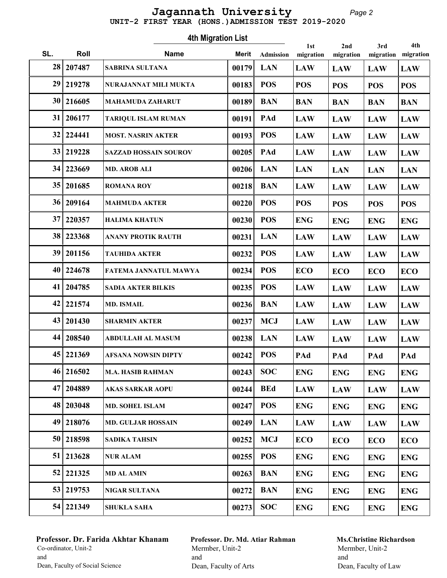#### Page 2 UNIT-2 FIRST YEAR (HONS.)ADMISSION TEST 2019-2020 Jagannath University

Roll Mame Marit 1st SL. Roll **Name** Merit Admission migration 4th Migration List Admission 2nd migration 3rd migration 4th migration 28 207487 SABRINA SULTANA 00179 LAW LAN LAW LAW LAW 29 219278 NURAJANNAT MILI MUKTA | 00183 POS POS POS POS POS POS 30 216605 MAHAMUDA ZAHARUT 00189 BAN BAN BAN BAN BAN BAN  $31|206177$  TARIQUL ISLAM RUMAN  $|00191|$  PAd  $|LAW|$   $LAW$   $|LAW|$ 32 224441 | MOST. NASRIN AKTER | 00193 | POS | LAW | LAW | LAW | LAW  $33|219228$  SAZZAD HOSSAIN SOUROV  $|00205|$  PAd  $|LAW|$  LAW  $|LAW|$  $34 | 223669$  MD. AROB ALI  $|00206|$  LAN  $|$  LAN  $|$  LAN  $|$  LAN  $|$  LAN  $|$  LAN  $35|201685$  ROMANA ROY | 00218 BAN LAW LAW LAW LAW 36 209164 MAHMUDA AKTER 00220 POS POS POS POS POS 37 220357 HALIMA KHATUN 00230 POS ENG ENG ENG ENG 38 223368 ANANY PROTIK RAUTH 00231 LAN LAW LAW LAW LAW 39 201156 TAUHIDA AKTER 00232 LAW POS LAW LAW LAW 40 224678 FATEMA JANNATUL MAWYA  $|00234|$  POS  $|ECO$   $|ECO$   $|ECO$   $|ECO$ 41 204785 SADIA AKTER BILKIS | 00235 POS | LAW | LAW | LAW | LAW  $42|221574$  MD. ISMAIL  $|00236|$  BAN  $|LM$  LAW  $|LM$  LAW  $|LM$ 43 201430 SHARMIN AKTER  $\begin{array}{|c|c|c|c|c|c|c|c|c|}\hline \end{array}$  00237 MCJ LAW LAW LAW LAW 44 208540 ABDULLAH AL MASUM | 00238 LAN | LAW | LAW | LAW | LAW 45 221369 AFSANA NOWSIN DIPTY 00242 PAd POS PAd PAd PAd 46 216502 | M.A. HASIB RAHMAN | 00243 | SOC | ENG | ENG | ENG | ENG | ENG 47 204889 AKAS SARKAR AOPU 00244 LAW BEd LAW LAW LAW 48 203048 MD. SOHEL ISLAM 00247 ENG POS ENG ENG ENG 49 218076 MD. GULJAR HOSSAIN | 00249 LAN LAW LAW LAW LAW LAW 50 218598 SADIKA TAHSIN 00252 MCJ ECO ECO ECO ECO  $51 | 213628$  NUR ALAM  $|00255 | POS$   $|ENG$   $|ENG$   $|ENG$   $|ENG$  $52 | 221325$  MD AL AMIN  $|00263|$  BAN  $|ENG|$  ENG  $|ENG|$  ENG 53 219753 NIGAR SULTANA  $\vert$  00272 BAN ENG ENG ENG ENG  $54 | 221349$  SHUKLA SAHA  $|00273|$  SOC  $|$  ENG  $|$  ENG  $|$  ENG  $|$  ENG

## Professor. Dr. Farida Akhtar Khanam Co-ordinator, Unit-2 and Dean, Faculty of Social Science

Professor. Dr. Md. Atiar Rahman Mermber, Unit-2 and Dean, Faculty of Arts

## Ms.Christine Richardson Mermber, Unit-2 and

Dean, Faculty of Law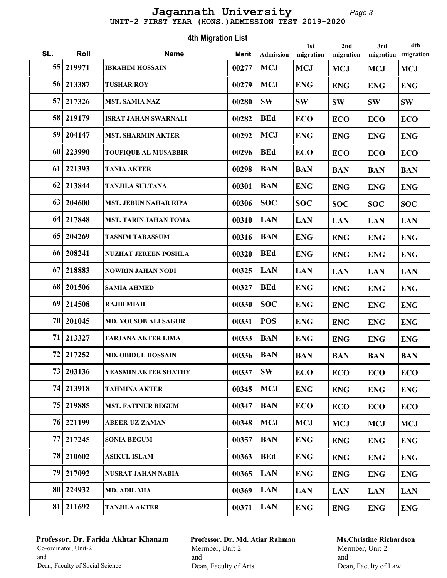#### Page 3 UNIT-2 FIRST YEAR (HONS.)ADMISSION TEST 2019-2020 Jagannath University

Roll Mame Marit 1st SL. Roll **Name** Merit Admission migration 4th Migration List Admission 2nd migration 3rd migration 4th migration 55 219971 IBRAHIM HOSSAIN 00277 MCJ MCJ MCJ MCJ MCJ MCJ  $56|213387$  TUSHAR ROY  $|00279|$  MCJ  $|ENG|$   $|ENG|$   $|ENG|$   $|ENG|$  $57|217326$  MST. SAMIA NAZ 00280 SW SW SW SW SW SW 58 219179 ISRAT JAHAN SWARNALI 00282 BEd ECO ECO ECO ECO 59 204147 | MST. SHARMIN AKTER | 00292 | MCJ | ENG | ENG | ENG | ENG | ENG 60 223990 TOUFIQUE AL MUSABBIR  $|00296|$  BEd  $|ECO$   $|ECO$   $|ECO$   $|ECO$ 61 221393 TANIA AKTER 00298 BAN BAN BAN BAN BAN BAN 62 213844 TANJILA SULTANA  $\vert$  00301 BAN ENG ENG ENG ENG  $63|204600$  MST. JEBUN NAHAR RIPA  $|00306|$  SOC  $|$  SOC  $|$  SOC  $|$  SOC  $|$  SOC 64 217848 MST. TARIN JAHAN TOMA 00310 LAN LAN LAN LAN LAN 65 204269 TASNIM TABASSUM 00316 BAN ENG ENG ENG ENG 66 208241 NUZHAT JEREEN POSHLA 00320 BEd ENG ENG ENG ENG 67 218883 NOWRIN JAHAN NODI 00325 LAN LAN LAN LAN LAN LAN 68 201506 SAMIA AHMED 00327 BEd ENG ENG ENG ENG  $\begin{array}{c|c|c|c|c|c|c|c|c} \hline \text{69} & \text{214508} & \text{RaJIB MIAH} \ \hline \end{array}$   $\begin{array}{c|c|c|c|c} \hline \text{00330} & \text{SOC} & \text{ENG} & \text{ENG} & \text{ENG} \ \hline \end{array}$ 70 201045 | MD. YOUSOB ALI SAGOR | 00331 POS | ENG | ENG | ENG | ENG | ENG 71 213327 FARJANA AKTER LIMA 00333 ENG BAN ENG ENG ENG 72 217252 MD. OBIDUL HOSSAIN 00336 BAN BAN BAN BAN BAN 73 203136 YEASMIN AKTER SHATHY  $|00337|$  SW  $|ECO|$   $|ECO|$   $|ECO|$  74 213918 TAHMINA AKTER 00345 ENG MCJ ENG ENG ENG 75 219885 MST. FATINUR BEGUM 00347 BAN ECO ECO BCO BCO 76 221199 ABEER-UZ-ZAMAN 00348 MCJ MCJ MCJ MCJ MCJ  $77|217245$  SONIA BEGUM 00357 BAN ENG ENG ENG ENG 78 210602 ASIKUL ISLAM 00363 BEd ENG ENG ENG ENG 79 217092 NUSRAT JAHAN NABIA | 00365 LAN | ENG | ENG | ENG | ENG  $80|224932$  MD. ADIL MIA  $|00369|$  LAN  $|LM$  LAN LAN LAN LAN 81 211692 TANJILA AKTER 00371 LAN ENG ENG ENG ENG

## Professor. Dr. Farida Akhtar Khanam Co-ordinator, Unit-2 and Dean, Faculty of Social Science

Professor. Dr. Md. Atiar Rahman Mermber, Unit-2 and Dean, Faculty of Arts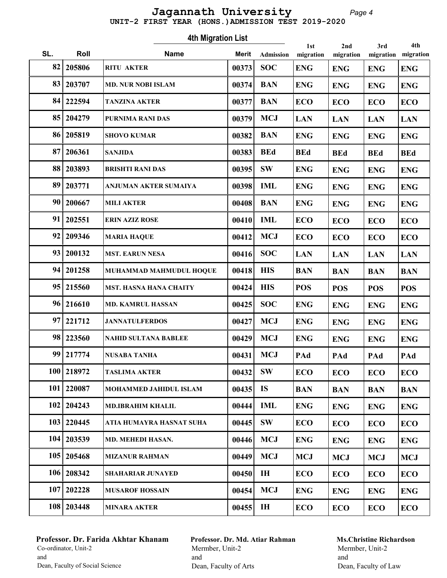#### Page 4 UNIT-2 FIRST YEAR (HONS.)ADMISSION TEST 2019-2020 Jagannath University

Roll Mame Marit 1st SL. Roll **Name** Merit Admission migration 4th Migration List Admission 2nd migration 3rd migration 4th migration  $82 | 205806$  RITU AKTER  $|00373 |$  SOC  $|$  ENG  $|$  ENG  $|$  ENG  $|$  ENG  $83|203707|$  MD. NUR NOBI ISLAM  $|00374|$  BAN  $|ENG|$  ENG  $|ENG|$  ENG 84 222594 TANZINA AKTER  $|00377|$  BAN  $|ECO|$   $|ECO|$   $|ECO|$  85 204279 PURNIMA RANI DAS 00379 LAN MCJ LAN LAN LAN  $86|205819$  SHOVO KUMAR 00382 BAN ENG ENG ENG BANG BANG BANG ENG 87 206361 SANJIDA | 00383 BEd | BEd | BEd | BEd | BEd 88 203893 BRISHTI RANI DAS 00395 SW ENG ENG ENG ENG 89 203771 ANJUMAN AKTER SUMAIYA | 00398 | IML | ENG | ENG | ENG | ENG | ENG  $90|200667$  MILI AKTER 00408 BAN ENG ENG ENG ENG 91 202551 ERIN AZIZ ROSE 00410 IML ECO ECO ECO ECO 92 209346 MARIA HAQUE  $|00412|$  MCJ  $|ECO|$   $|ECO|$   $|ECO|$ 93 200132 MST. EARUN NESA  $|00416|$  SOC  $|LM$  LAN LAN LAN LAN 94 201258 MUHAMMAD MAHMUDUL HOQUE 00418 HIS BAN BAN BAN BAN 95 215560 MST. HASNA HANA CHAITY | 00424 HIS POS POS POS POS POS 96 216610 | MD. KAMRUL HASSAN | 00425 | SOC | ENG | ENG | ENG | ENG | ENG 97 221712 JANNATULFERDOS 00427 MCJ ENG ENG ENG ENG 98 223560 NAHID SULTANA BABLEE 00429 MCJ ENG ENG ENG ENG 99 217774 NUSABA TANHA 00431 PAd MCJ PAd PAd PAd 100 218972 TASLIMA AKTER  $|00432|$  SW  $|ECO|$   $|ECO|$   $|ECO|$ 101 220087 | MOHAMMED JAHIDUL ISLAM | 00435 | IS | BAN | BAN | BAN | BAN | BAN 102 204243 | MD.IBRAHIM KHALIL | 00444 | IML | ENG | ENG | ENG | ENG | ENG 103 220445 ATIA HUMAYRA HASNAT SUHA  $\parallel$  00445 SW ECO ECO ECO ECO SUB 104 203539 MD. MEHEDI HASAN. 100446 MCJ ENG ENG ENG ENG 105 | 205468 | MIZANUR RAHMAN | 00449 | MCJ | MCJ | MCJ | MCJ | MCJ | MCJ 106 208342 SHAHARIAR JUNAYED 00450 H ECO ECO ECO ECO 107 202228 MUSAROF HOSSAIN 00454 MCJ ENG ENG ENG ENG 108 203448 MINARA AKTER  $|00455|$  IH  $|ECO$   $|ECO$   $|ECO$   $|ECO$ 

#### Professor. Dr. Farida Akhtar Khanam Co-ordinator, Unit-2 and Dean, Faculty of Social Science

Professor. Dr. Md. Atiar Rahman Mermber, Unit-2 and Dean, Faculty of Arts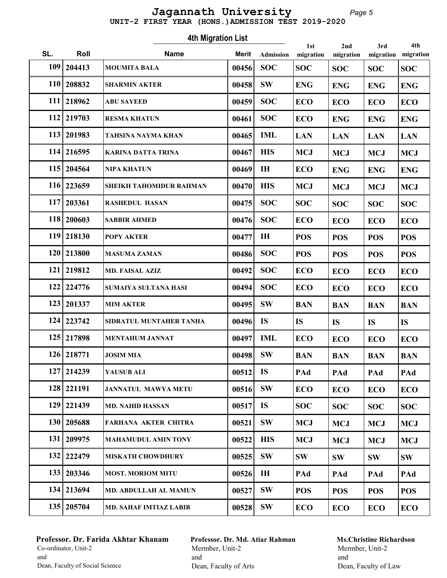#### Page 5 UNIT-2 FIRST YEAR (HONS.)ADMISSION TEST 2019-2020 Jagannath University

Roll Mame Marit 1st SL. Roll **Name** Merit Admission migration 4th Migration List Admission 2nd migration 3rd migration 4th migration 109 204413 MOUMITA BALA 00456 SOC SOC SOC SOC SOC SOC 110 208832 SHARMIN AKTER  $|00458|$  SW  $|$  ENG  $|$  ENG  $|$  ENG  $|$  ENG 111 218962 ABU SAYEED  $|00459|$  SOC  $|ECO|$   $|ECO|$   $|ECO|$   $|ECO|$ 112 219703 RESMA KHATUN  $|00461|$  SOC  $|ECO|$  ENG  $|EAG|$  ENG 113 201983 TAHSINA NAYMA KHAN 00465 LAN IML LAN LAN LAN 114 216595 | KARINA DATTA TRINA | 00467 | HIS | MCJ | MCJ | MCJ | MCJ | MCJ 115 204564 NIPA KHATUN  $|00469|$  IH  $|ECO|$  ENG  $|ENG|$  ENG 116 223659 SHEIKH TAHOMIDUR RAHMAN 00470 HIS MCJ MCJ MCJ MCJ MCJ 117 203361 RASHEDUL HASAN 00475 SOC SOC SOC SOC SOC SOC 118 200603 SABBIR AHMED  $|00476|$  SOC  $|ECO|$  ECO  $|ECO|$  ECO 119 218130 POPY AKTER 00477 POS IH POS POS POS 120 213800 MASUMA ZAMAN 00486 SOC POS POS POS POS 121 219812 MD. FAISAL AZIZ  $|00492|$  SOC  $|ECO|$   $|ECO|$   $|ECO|$   $|ECO|$ 122 224776 SUMAIYA SULTANA HASI  $|00494|$  SOC  $|ECO|$   $|ECO|$   $|ECO|$  $123 | 201337$  MIM AKTER  $|00495 | S W | BAN | BAN | BAN | BAN$ 124 | 223742 | SIDRATUL MUNTAHER TANHA | 00496 | IS | IS | IS | IS | IS 125 217898 MENTAHUM JANNAT  $|00497|$  IML  $|ECO|$   $|ECO|$   $|ECO|$  $126|218771$  JOSIM MIA  $|00498|$  SW  $|BAN$  BAN BAN BAN BAN 127 214239 YAUSUB ALI 00512 PAd IS PAd PAd PAd 128 221191 JANNATUL MAWYA METU 00516 ECO SW ECO ECO ECO 129 221439 MD. NAHID HASSAN  $|00517|$  IS  $|SOC|$   $SOC$   $|SOC|$ 130 205688 FARHANA AKTER CHITRA | 00521 SW | MCJ | MCJ | MCJ | MCJ | MCJ 131 | 209975 | MAHAMUDUL AMIN TONY | 00522 | HIS | MCJ | MCJ | MCJ | MCJ | MCJ 132 222479 | MISKATH CHOWDHURY | 00525 | SW SW SW SW SW SW 133 203346 | MOST. MORIOM MITU | 00526 | IH | PAd | PAd | PAd | PAd 134 213694 MD. ABDULLAH AL MAMUN  $|00527|$  SW  $|POS|$  POS  $|POS|$  POS 135 205704 MD. SAHAF IMTIAZ LABIB  $|00528|$  SW  $|ECO|$   $|ECO|$   $|ECO|$ 

#### Professor. Dr. Farida Akhtar Khanam Co-ordinator, Unit-2 and Dean, Faculty of Social Science

Professor. Dr. Md. Atiar Rahman Mermber, Unit-2 and Dean, Faculty of Arts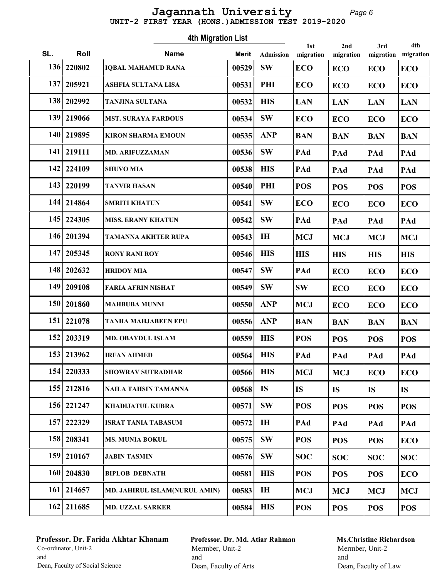#### Page 6 UNIT-2 FIRST YEAR (HONS.)ADMISSION TEST 2019-2020 Jagannath University

Roll Mame Marit 1st SL. Roll **Name** Merit Admission migration 4th Migration List Admission 2nd migration 3rd migration 4th migration 136 220802 | IQBAL MAHAMUD RANA  $|00529|$  SW  $|ECO$   $|ECO$   $|ECO$   $|ECO$ 137 205921 ASHFIA SULTANA LISA  $|00531|$  PHI  $|ECO|$   $|ECO|$   $|ECO|$   $|ECO|$ 138 202992 TANJINA SULTANA 00532 HIS LAN LAN LAN LAN 139 219066 MST. SURAYA FARDOUS  $|00534|$  SW  $|ECO|$   $|ECO|$   $|ECO|$ 140 219895 KIRON SHARMA EMOUN 00535 ANP BAN BAN BAN BAN 141 | 219111 | MD. ARIFUZZAMAN | 00536 | SW | PAd | PAd | PAd | PAd 142 224109 SHUVO MIA 00538 PAd HIS PAd PAd PAd 143 220199 TANVIR HASAN  $|00540|$  PHI  $|POS$   $|POS$   $|POS$   $|POS$  144 214864 SMRITI KHATUN 00541 ECO SW ECO ECO ECO 145 224305 MISS. ERANY KHATUN 00542 SW PAd PAd PAd PAd 146 201394 TAMANNA AKHTER RUPA 00543 MCJ IH MCJ MCJ MCJ 147 205345 RONY RANI ROY  $\vert$  00546 HIS HIS HIS HIS HIS 148 202632 HRIDOY MIA  $|00547|$  SW PAd ECO ECO ECO 149 209108 FARIA AFRIN NISHAT | 00549 SW SW ECO ECO ECO 150 201860 MAHBUBA MUNNI  $|00550|$  ANP  $|MCJ|$  ECO  $|ECO|$  ECO 151 221078 TANHA MAHJABEEN EPU | 00556 ANP | BAN | BAN | BAN | BAN 152 203319 MD. OBAYDUL ISLAM 00559 HIS POS POS POS POS 153 213962 |IRFAN AHMED | 00564 | HIS | PAd | PAd | PAd | PAd 154 220333 SHOWRAV SUTRADHAR 100566 HIS MCJ MCJ ECO ECO 155 212816 NAILA TAHSIN TAMANNA 00568 IS IS IS IS IS 156 221247 | KHADIJATUL KUBRA | 00571 | SW | POS | POS | POS | POS 157 222329 ISRAT TANIA TABASUM 00572 IH PAd PAd PAd PAd 158 208341 MS. MUNIA BOKUL  $|00575|$  SW  $|POS|$  POS  $|POS|$  ECO 159 210167 JABIN TASMIN 00576 SW SOC SOC SOC SOC 160 204830 BIPLOB DEBNATH 00581 HIS POS POS POS ECO 161 214657 | MD. JAHIRUL ISLAM(NURUL AMIN) | 00583 | H | MCJ | MCJ | MCJ | MCJ | MCJ | MCJ | MCJ | MCJ | MCJ | MCJ | MCJ | MCJ | MCJ | MCJ | MCJ | MCJ | MCJ | MCJ | MCJ | MCJ | MCJ | MCJ | MCJ | MCJ | MCJ | MCJ | MCJ | MC 162 211685 MD. UZZAL SARKER 100584 HIS POS POS POS POS

## Professor. Dr. Farida Akhtar Khanam Co-ordinator, Unit-2 and Dean, Faculty of Social Science

Professor. Dr. Md. Atiar Rahman Mermber, Unit-2 and Dean, Faculty of Arts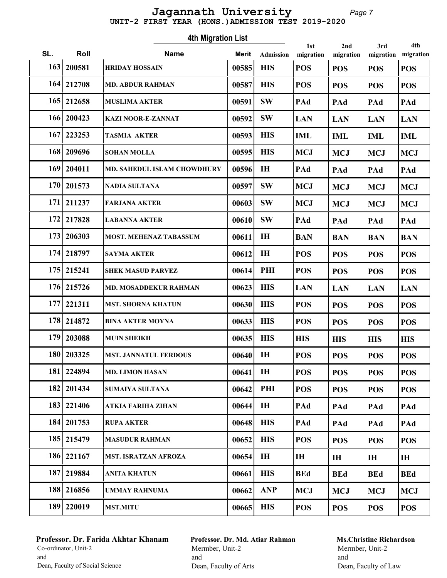#### Page 7 UNIT-2 FIRST YEAR (HONS.)ADMISSION TEST 2019-2020 Jagannath University

Roll Mame Marit 1st SL. Roll **Name** Merit Admission migration 4th Migration List Admission 2nd migration 3rd migration 4th migration 163 | 200581 | HRIDAY HOSSAIN | 00585 | HIS | POS | POS | POS | POS 164 212708 | MD. ABDUR RAHMAN | 00587 | HIS | POS | POS | POS | POS 165 212658 MUSLIMA AKTER 00591 PAd SW PAd PAd PAd 166 200423 KAZI NOOR-E-ZANNAT 00592 SW LAN LAN LAN LAN 167 223253 TASMIA AKTER 00593 IML HIS IML IML IML 168 209696 SOHAN MOLLA 00595 HIS MCJ MCJ MCJ MCJ MCJ 169 204011 | MD. SAHEDUL ISLAM CHOWDHURY | 00596 | IH | PAd | PAd | PAd | PAd  $170 | 201573$  NADIA SULTANA 00597 SW MCJ MCJ MCJ MCJ MCJ 171 211237 FARJANA AKTER 00603 SW MCJ MCJ MCJ MCJ MCJ 172 217828 LABANNA AKTER 00610 PAd SW PAd PAd PAd 173 206303 MOST. MEHENAZ TABASSUM | 00611 | IH | BAN | BAN | BAN | BAN 174 218797 SAYMA AKTER 00612 POS IH POS POS POS 175 215241 SHEK MASUD PARVEZ 00614 PHI POS POS POS POS 176 215726 MD. MOSADDEKUR RAHMAN | 00623 | HIS | LAN | LAN | LAN | LAN | LAN 177 221311 | MST. SHORNA KHATUN | 00630 | HIS | POS | POS | POS | POS 178 214872 BINA AKTER MOYNA | 00633 | HIS | POS | POS | POS | POS 179 203088 MUIN SHEIKH 00635 HIS HIS HIS HIS HIS 180 203325 MST. JANNATUL FERDOUS 00640 IH POS POS POS POS 181 224894 MD. LIMON HASAN  $\vert$  00641 H  $\vert$  POS  $\vert$  POS  $\vert$  POS  $\vert$  POS 182 | 201434 | SUMAIYA SULTANA | 00642 PHI POS POS POS POS POS 183 221406 ATKIA FARIHA ZIHAN 00644 PAd IH PAd PAd PAd 184 201753 RUPA AKTER 00648 PAd HIS PAd PAd PAd 185 215479 MASUDUR RAHMAN  $|00652|$  HIS  $|POS|$  POS  $|POS|$  POS 186 221167 | MST. ISRATZAN AFROZA | 00654 | IH | IH | IH | IH | IH 187 219884 | ANITA KHATUN | 00661 | HIS | BEd | BEd | BEd | BEd | BEd 188 216856 UMMAY RAHNUMA 100662 ANP MCJ MCJ MCJ MCJ MCJ 189 220019 MST.MITU | 00665 HIS POS POS POS POS

## Professor. Dr. Farida Akhtar Khanam Co-ordinator, Unit-2 and Dean, Faculty of Social Science

Professor. Dr. Md. Atiar Rahman Mermber, Unit-2 and Dean, Faculty of Arts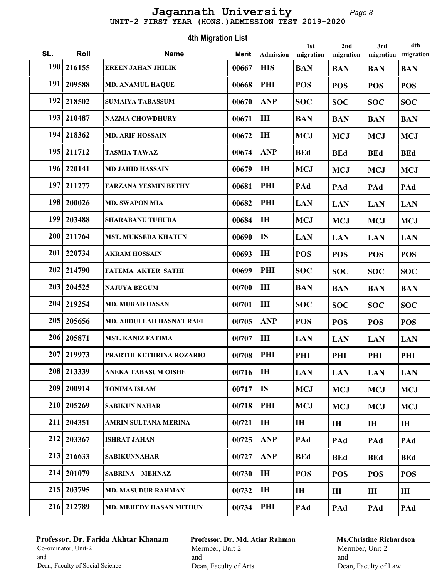#### Page 8 UNIT-2 FIRST YEAR (HONS.)ADMISSION TEST 2019-2020 Jagannath University

Roll Mame Marit 1st SL. Roll **Name** Merit Admission migration 4th Migration List Admission 2nd migration 3rd migration 4th migration 190 216155 EREEN JAHAN JHILIK | 00667 HIS | BAN | BAN | BAN | BAN 191 | 209588 | MD. ANAMUL HAQUE  $|00668|$  PHI  $|POS|$  POS  $|POS|$  POS  $|POS|$ 192 218502 SUMAIYA TABASSUM 100670 ANP SOC SOC SOC SOC 193 210487 NAZMA CHOWDHURY 00671 IH BAN BAN BAN BAN  $194|218362$  MD. ARIF HOSSAIN 00672 IH MCJ MCJ MCJ MCJ MCJ 195 211712 TASMIA TAWAZ 00674 ANP BEd BEd BEd BEd 196 220141 | MD JAHID HASSAIN | 00679 | H | MCJ | MCJ | MCJ | MCJ | MCJ 197 211277 FARZANA YESMIN BETHY 00681 PAd PHI PAd PAd PAd  $198|200026$  MD. SWAPON MIA 00682 PHI LAN LAN LAN LAN 199 203488 SHARABANU TUHURA | 00684 MCJ | MCJ | MCJ | MCJ | MCJ 200 211764 MST. MUKSEDA KHATUN 00690 IS LAN LAN LAN LAN 201 220734 AKRAM HOSSAIN 00693 IH POS POS POS POS 202 214790 FATEMA AKTER SATHI 00699 SOC PHI SOC SOC SOC 203 204525 NAJUYA BEGUM 00700 IH BAN BAN BAN BAN 204 | 219254 | MD. MURAD HASAN | 00701 | H | SOC | SOC | SOC | SOC | SOC 205 | 205656 | MD. ABDULLAH HASNAT RAFI | 00705 | ANP | POS | POS | POS | POS 206 205871 | MST. KANIZ FATIMA | 00707 | H | LAN | LAN | LAN | LAN 207 | 219973 | PRARTHI KETHRINA ROZARIO | 00708 | PHI | PHI | PHI | PHI | PHI | PHI 208 213339 ANEKA TABASUM OISHE 00716 IH LAN LAN LAN LAN 209 200914 TONIMA ISLAM 00717 IS MCJ MCJ MCJ MCJ MCJ 210 205269 SABIKUN NAHAR 00718 PHI MCJ MCJ MCJ MCJ MCJ 211 204351 AMRIN SULTANA MERINA 00721 IH IH IH IH IH 212 203367 ISHRAT JAHAN 00725 ANP PAd PAd PAd PAd 213 216633 SABIKUNNAHAR 00727 BEd ANP BEd BEd BEd 214 201079 SABRINA MEHNAZ 00730 POS IH POS POS POS 215 203795 MD. MASUDUR RAHMAN 00732 IH IH IH IH IH 216 212789 MD. MEHEDY HASAN MITHUN 00734 PHI PAd PAd PAd PAd

#### Professor. Dr. Farida Akhtar Khanam Co-ordinator, Unit-2 and Dean, Faculty of Social Science

Professor. Dr. Md. Atiar Rahman Mermber, Unit-2 and Dean, Faculty of Arts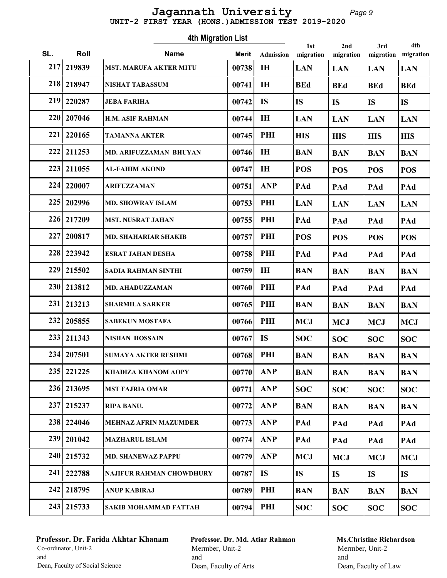#### Page 9 UNIT-2 FIRST YEAR (HONS.)ADMISSION TEST 2019-2020 Jagannath University

Roll Mame Marit 1st SL. Roll **Name** Merit Admission migration 4th Migration List Admission 2nd migration 3rd migration 4th migration 217 219839 MST. MARUFA AKTER MITU | 00738 | IH | LAN | LAN | LAN | LAN 218 218947 | NISHAT TABASSUM | 00741 | IH | BEd | BEd | BEd | BEd | BEd 219 220287 JEBA FARIHA 00742 IS IS IS IS IS 220 207046 H.M. ASIF RAHMAN 00744 IH LAN LAN LAN LAN 221 220165 TAMANNA AKTER 00745 HIS PHI HIS HIS HIS 222 211253 |MD. ARIFUZZAMAN BHUYAN | 00746 | IH | BAN | BAN | BAN | BAN 223 211055 AL-FAHIM AKOND 00747 POS IH POS POS POS 224 220007 ARIFUZZAMAN 00751 PAd ANP PAd PAd PAd 225 202996 MD. SHOWRAV ISLAM  $\vert$  00753 PHI LAN LAN LAN LAN LAN 226 217209 | MST. NUSRAT JAHAN | 00755 | PHI | PAd | PAd | PAd | PAd 227 | 200817 | MD. SHAHARIAR SHAKIB | 00757 | PHI | POS | POS | POS | POS | POS 228 223942 ESRAT JAHAN DESHA 00758 PAd PHI PAd PAd PAd 229 215502 SADIA RAHMAN SINTHI  $|00759|$  IH  $|BAN$  BAN BAN BAN 230 213812 MD. AHADUZZAMAN 00760 PHI PAd PAd PAd PAd 231 | 213213 | SHARMILA SARKER | 00765 | PHI | BAN | BAN | BAN | BAN 232 205855 SABEKUN MOSTAFA 100766 PHI MCJ MCJ MCJ MCJ MCJ 233 211343 NISHAN HOSSAIN 00767 IS SOC SOC SOC SOC 234 | 207501 | SUMAYA AKTER RESHMI | 00768 | PHI | BAN | BAN | BAN | BAN | BAN 235 221225 KHADIZA KHANOM AOPY  $|00770|$  ANP  $|BAN$  BAN BAN BAN 236 213695 MST FAJRIA OMAR 00771 ANP SOC SOC SOC SOC 237 215237 RIPA BANU. 00772 BAN ANP BAN BAN BAN 238 224046 MEHNAZ AFRIN MAZUMDER 00773 ANP PAd PAd PAd PAd 239 201042 MAZHARUL ISLAM 00774 PAd ANP PAd PAd PAd 240 215732 | MD. SHANEWAZ PAPPU | 00779 | ANP | MCJ | MCJ | MCJ | MCJ | MCJ 241 222788 NAJIFUR RAHMAN CHOWDHURY  $\vert$  00787 | IS  $\vert$  IS  $\vert$  IS  $\vert$  IS  $\vert$  IS  $\vert$  IS 242 218795 ANUP KABIRAJ 00789 BAN PHI BAN BAN BAN 243 | 215733 | SAKIB MOHAMMAD FATTAH | 00794 | PHI | SOC | SOC | SOC | SOC | SOC

#### Professor. Dr. Farida Akhtar Khanam Co-ordinator, Unit-2 and Dean, Faculty of Social Science

Professor. Dr. Md. Atiar Rahman Mermber, Unit-2 and Dean, Faculty of Arts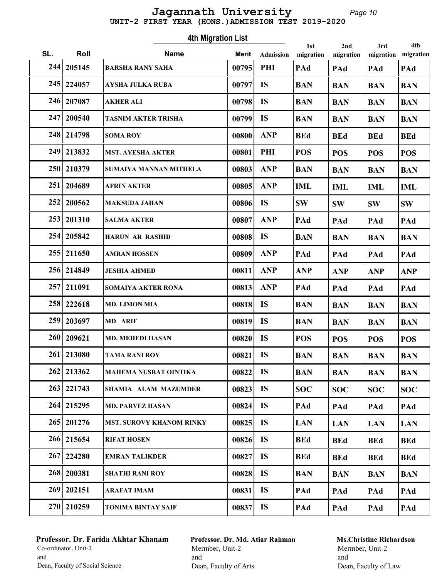#### Page 10 UNIT-2 FIRST YEAR (HONS.)ADMISSION TEST 2019-2020 Jagannath University

Roll Mame Marit 1st SL. Roll **Name** Merit Admission migration 4th Migration List Admission 2nd migration 3rd migration 4th migration 244 205145 BARSHA RANY SAHA 00795 PAd PHI PAd PAd PAd 245 224057 AYSHA JULKA RUBA  $\vert$  00797 IS BAN BAN BAN BAN 246 207087 AKHER ALI 00798 IS BAN BAN BAN BAN 247 200540 TASNIM AKTER TRISHA 00799 BAN IS BAN BAN BAN 248 214798 SOMA ROY | 00800 ANP | BEd | BEd | BEd | BEd 249 213832 | MST. AYESHA AKTER | 00801 | PHI | POS | POS | POS | POS 250 210379 SUMAIYA MANNAN MITHELA | 00803 | ANP | BAN | BAN | BAN | BAN | BAN 251 204689 AFRIN AKTER 00805 IML ANP IML IML IML 252 200562 MAKSUDA JAHAN  $|00806|$  IS  $|8W|$   $|8W|$   $|8W|$   $|8W|$  253 201310 SALMA AKTER 00807 PAd ANP PAd PAd PAd 254 205842 HARUN AR RASHID 00808 IS BAN BAN BAN BAN 255 211650 AMRAN HOSSEN 00809 ANP PAd PAd PAd PAd 256 214849 JESHIA AHMED 00811 ANP ANP ANP ANP ANP ANP 257 211091 SOMAIYA AKTER RONA 00813 PAd ANP PAd PAd PAd 258 222618 MD. LIMON MIA 00818 IS BAN BAN BAN BAN BAN 259 203697 MD ARIF 00819 BAN IS BAN BAN BAN 260 209621 | MD. MEHEDI HASAN | 00820 | IS | POS | POS | POS | POS 261 213080 TAMA RANI ROY 00821 IS BAN BAN BAN BAN 262 213362 MAHEMA NUSRAT OINTIKA | 00822 IS | BAN | BAN | BAN | BAN 263 221743 SHAMIA ALAM MAZUMDER | 00823 IS | SOC | SOC | SOC | SOC 264 215295 MD. PARVEZ HASAN 00824 IS PAd PAd PAd PAd 265 201276 MST. SUROVY KHANOM RINKY  $\vert$  00825 IS LAN LAN LAN LAN LAN 266 215654 RIFAT HOSEN 00826 IS BEd BEd BEd BEd 267 224280 EMRAN TALIKDER | 00827 IS | BEd | BEd | BEd | BEd 268 200381 SHATHI RANI ROY 00828 IS BAN BAN BAN BAN 269 202151 ARAFAT IMAM 00831 IS PAd PAd PAd PAd 270 210259 TONIMA BINTAY SAIF 00837 PAd IS PAd PAd PAd

## Professor. Dr. Farida Akhtar Khanam Co-ordinator, Unit-2 and Dean, Faculty of Social Science

Professor. Dr. Md. Atiar Rahman Mermber, Unit-2 and Dean, Faculty of Arts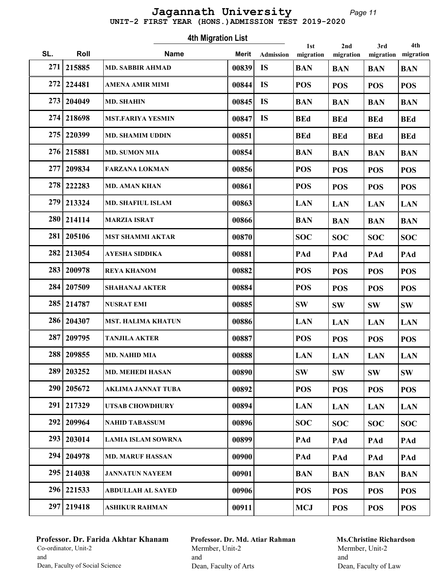#### Page 11 UNIT-2 FIRST YEAR (HONS.)ADMISSION TEST 2019-2020 Jagannath University

Roll Mame Marit 1st SL. Roll **Name** Merit Admission migration 4th Migration List Admission 2nd migration 3rd migration 4th migration 271 215885 MD. SABBIR AHMAD 00839 IS BAN BAN BAN BAN 272 224481 | AMENA AMIR MIMI | 00844 | IS | POS | POS | POS | POS 273 204049 MD. SHAHIN  $|00845|$  IS  $|BAN$  BAN BAN BAN BAN 274 218698 MST.FARIYA YESMIN | 00847 IS | BEd | BEd | BEd | BEd 275 220399 | MD. SHAMIM UDDIN | 00851 | BEd | BEd | BEd | BEd | BEd 276 215881 MD. SUMON MIA  $|00854|$  BAN BAN BAN BAN BAN 277 | 209834 | FARZANA LOKMAN | 00856 | POS | POS | POS | POS | POS 278 222283 MD. AMAN KHAN  $|00861|$  POS POS POS POS 279 213324 | MD. SHAFIUL ISLAM | 00863 | LAN LAN LAN LAN LAN 280 214114 MARZIA ISRAT 00866 BAN BAN BAN BAN 281 205106 MST SHAMMI AKTAR 00870 SOC SOC SOC SOC SOC 282 213054 AYESHA SIDDIKA 00881 PAd PAd PAd PAd 283 200978 REYA KHANOM 00882 POS POS POS POS 284 207509 SHAHANAJ AKTER 100884 POS POS POS POS 285 214787 NUSRAT EMI | 00885 SW SW SW SW SW 286 204307 MST. HALIMA KHATUN 00886 LAN LAN LAN LAN 287 209795 TANJILA AKTER | 00887 | POS | POS | POS | POS | POS 288 209855 MD. NAHID MIA 00888 LAN LAN LAN LAN LAN 289 203252 MD. MEHEDI HASAN 00890 SW SW SW SW 290 205672 AKLIMA JANNAT TUBA 00892 POS POS POS POS 291 217329 UTSAB CHOWDHURY 00894 LAN LAN LAN LAN 292 209964 NAHID TABASSUM 00896  $\vert$  SOC  $\vert$  SOC  $\vert$  SOC  $\vert$  SOC  $\vert$  SOC 293 | 203014 | LAMIA ISLAM SOWRNA | 00899 | PAd PAd PAd PAd PAd 294 204978 MD. MARUF HASSAN 00900 PAd PAd PAd PAd 295 214038 JANNATUN NAYEEM 00901 BAN BAN BAN BAN 296 221533 ABDULLAH AL SAYED 00906 POS POS POS POS 297 219418 ASHIKUR RAHMAN 00911 MCJ POS POS POS

## Professor. Dr. Farida Akhtar Khanam Co-ordinator, Unit-2 and Dean, Faculty of Social Science

Professor. Dr. Md. Atiar Rahman Mermber, Unit-2 and Dean, Faculty of Arts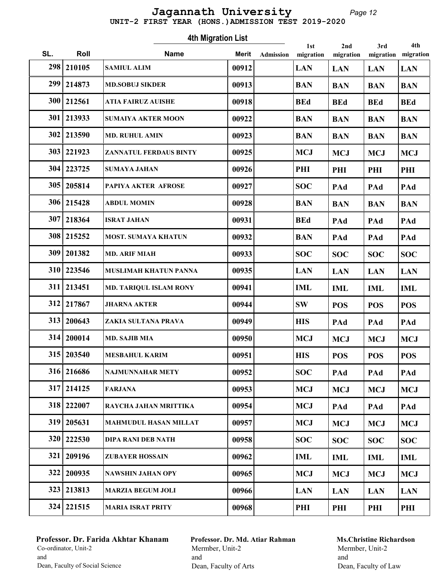#### Page 12 UNIT-2 FIRST YEAR (HONS.)ADMISSION TEST 2019-2020 Jagannath University

Roll Mame Marit 1st SL. Roll **Name** Merit Admission migration 4th Migration List Admission 2nd migration 3rd migration 4th migration 298 210105 SAMIUL ALIM 00912 LAN LAN LAN LAN 299 214873 | MD.SOBUJ SIKDER | 00913 | BAN BAN BAN BAN BAN 300 212561 ATIA FAIRUZ AUISHE 00918 BEd BEd BEd BEd 301 213933 SUMAIYA AKTER MOON 00922 BAN BAN BAN BAN 302 213590 MD. RUHUL AMIN 00923 BAN BAN BAN BAN 303 | 221923 | ZANNATUL FERDAUS BINTY | 00925 | MCJ | MCJ | MCJ | MCJ | MCJ 304 223725 SUMAYA JAHAN 00926 PHI PHI PHI PHI 305 205814 PAPIYA AKTER AFROSE  $|00927|$  SOC PAd PAd PAd  $306|215428$  ABDUL MOMIN 00928 BAN BAN BAN BAN BAN 307 218364 ISRAT JAHAN 00931 BEd PAd PAd PAd 308 215252 MOST. SUMAYA KHATUN 00932 BAN PAd PAd PAd  $309|201382$  MD. ARIF MIAH 00933 SOC SOC SOC SOC SOC 310 223546 MUSLIMAH KHATUN PANNA | 00935 | LAN LAN LAN LAN 311 213451 MD. TARIQUL ISLAM RONY 00941 IML IML IML IML 312 217867 JHARNA AKTER 00944 SW POS POS POS 313 | 200643 | ZAKIA SULTANA PRAVA | 00949 | HIS | PAd | PAd | PAd  $314 | 200014$  MD. SAJIB MIA 00950 MCJ MCJ MCJ MCJ MCJ 315 203540 MESBAHUL KARIM | 00951 | HIS | POS | POS | POS 316 216686 NAJMUNNAHAR METY 100952 SOC PAd PAd PAd  $317|214125$  FARJANA 00953 MCJ MCJ MCJ MCJ MCJ 318 222007 RAYCHA JAHAN MRITTIKA 00954 MCJ PAd PAd PAd  $319|205631$  MAHMUDUL HASAN MILLAT  $|00957|$  MCJ MCJ MCJ MCJ MCJ 320 | 222530 | DIPA RANI DEB NATH | 00958 | SOC | SOC | SOC | SOC | SOC | SOC 321 209196 ZUBAYER HOSSAIN 00962 IML IML IML IML 322 | 200935 | NAWSHIN JAHAN OPY | 00965 | MCJ | MCJ | MCJ | MCJ | MCJ | MCJ 323 213813 MARZIA BEGUM JOLI 100966 LAN LAN LAN LAN 324 221515 MARIA ISRAT PRITY 00968 PHI PHI PHI PHI

## Professor. Dr. Farida Akhtar Khanam Co-ordinator, Unit-2 and Dean, Faculty of Social Science

Professor. Dr. Md. Atiar Rahman Mermber, Unit-2 and Dean, Faculty of Arts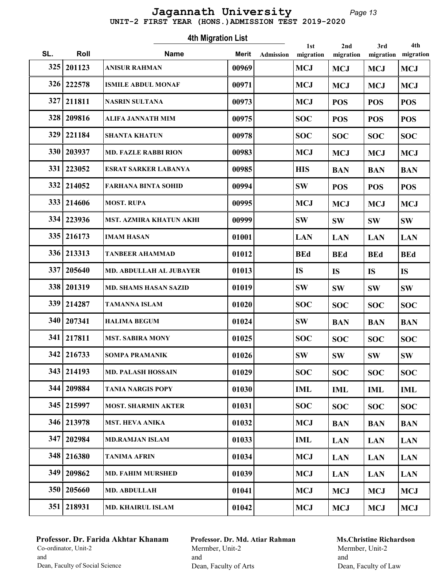#### Page 13 UNIT-2 FIRST YEAR (HONS.)ADMISSION TEST 2019-2020 Jagannath University

Roll Mame Marit 1st SL. Roll **Name** Merit Admission migration 4th Migration List Admission 2nd migration 3rd migration 4th migration 325 | 201123 | ANISUR RAHMAN | 00969 | MCJ | MCJ | MCJ | MCJ | MCJ | MCJ 326 222578 ISMILE ABDUL MONAF 100971 MCJ MCJ MCJ MCJ MCJ  $327|211811$  NASRIN SULTANA  $|00973|$  MCJ POS POS POS 328 209816 ALIFA JANNATH MIM  $|00975|$   $|SOC|$   $|POS|$   $|POS|$   $|POS|$ 329 221184 SHANTA KHATUN 00978  $\vert$  SOC  $\vert$  SOC  $\vert$  SOC  $\vert$  SOC  $\vert$  SOC 330 203937 | MD. FAZLE RABBI RION | 00983 | MCJ | MCJ | MCJ | MCJ | MCJ 331 223052 ESRAT SARKER LABANYA | 00985 HIS BAN BAN BAN 332 214052 FARHANA BINTA SOHID 00994 SW POS POS POS  $333 | 214606$  MOST. RUPA 00995 MCJ MCJ MCJ MCJ MCJ 334 223936 MST. AZMIRA KHATUN AKHI | 00999 SW SW SW SW SW  $335|216173$  |IMAM HASAN 01001 | LAN |LAN |LAN |LAN |LAN 336 213313 TANBEER AHAMMAD 01012 BEd BEd BEd BEd BEd 337 205640 MD. ABDULLAH AL JUBAYER 01013 IS IS IS 338 | 201319 | MD. SHAMS HASAN SAZID | 01019 | SW | SW | SW | SW 339 214287 TAMANNA ISLAM 01020  $\vert$  SOC  $\vert$  SOC  $\vert$  SOC  $\vert$  SOC  $\vert$  SOC  $340\,$  207341 HALIMA BEGUM 01024 SW BAN BAN BAN 341 | 217811 | MST. SABIRA MONY | 01025 | SOC | SOC | SOC | SOC | SOC | SOC | SOC | SOC | SOC | SOC | SOC | SOC | SOC | SOC | SOC | SOC | SOC | SOC | SOC | SOC | SOC | SOC | SOC | SOC | SOC | SOC | SOC | SOC | SOC | SOC | 342 216733 SOMPA PRAMANIK | 01026 SW SW SW SW SW 343 | 214193 | MD. PALASH HOSSAIN | 01029 | SOC | SOC | SOC | SOC | SOC 344 209884 TANIA NARGIS POPY 01030 IML IML IML IML 345 215997 | MOST. SHARMIN AKTER | 01031 | SOC | SOC | SOC | SOC | SOC 346 213978 MST. HEVA ANIKA | 01032 MCJ BAN BAN BAN  $347|202984$  MD.RAMJAN ISLAM 01033 IML LAN LAN LAN 348 216380 TANIMA AFRIN 01034 MCJ LAN LAN LAN 349 209862 MD. FAHIM MURSHED 01039 MCJ LAN LAN LAN  $350|205660$  MD. ABDULLAH 01041 MCJ MCJ MCJ MCJ MCJ 351 | 218931 | MD. KHAIRUL ISLAM | 01042 | MCJ | MCJ | MCJ | MCJ | MCJ | MCJ

## Professor. Dr. Farida Akhtar Khanam Co-ordinator, Unit-2 and Dean, Faculty of Social Science

Professor. Dr. Md. Atiar Rahman Mermber, Unit-2 and Dean, Faculty of Arts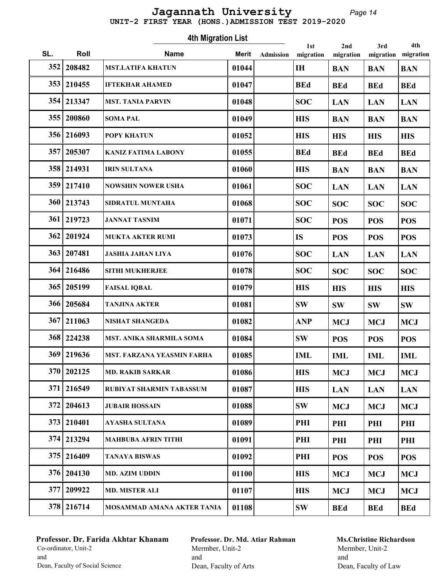#### Page 14 UNIT-2 FIRST YEAR (HONS.)ADMISSION TEST 2019-2020 Jagannath University

Roll Mame Marit 1st SL. Roll **Name** Merit Admission migration 4th Migration List Admission 2nd migration 3rd migration 4th migration 352 208482 MST.LATIFA KHATUN 01044 IH BAN BAN BAN 353 | 210455 | IFTEKHAR AHAMED | 01047 | BEd | BEd | BEd | BEd | BEd  $354 | 213347$  MST. TANIA PARVIN 01048 SOC LAN LAN LAN  $355|200860$  SOMA PAL 01049 HIS BAN BAN BAN 356 216093 POPY KHATUN 01052 HIS HIS HIS HIS 357 205307 KANIZ FATIMA LABONY 01055 BEd BEd BEd BEd 358 214931 |IRIN SULTANA | 01060 | HIS | BAN | BAN | BAN 359 217410 NOWSHIN NOWER USHA 01061 SOC LAN LAN LAN 360 213743 SIDRATUL MUNTAHA 101068 SOC SOC SOC SOC SOC 361 219723 JANNAT TASNIM | 01071 | SOC | POS | POS | POS 362 | 201924 | MUKTA AKTER RUMI | 01073 | IS | POS | POS | POS 363 | 207481 | JASHIA JAHAN LIYA | 01076 | SOC | LAN | LAN | LAN  $364 | 216486$  SITHI MUKHERJEE 01078  $|$  SOC  $|$  SOC  $|$  SOC  $|$  SOC 365 205199 FAISAL IQBAL | 01079 HIS | HIS | HIS | HIS 366 205684 TANJINA AKTER | 01081 | SW | SW | SW | SW | SW 367 | 211063 | NISHAT SHANGEDA | 01082 | ANP | MCJ | MCJ | MCJ | MCJ 368 224238 MST. ANIKA SHARMILA SOMA 01084 SW POS POS POS 369 219636 MST. FARZANA YEASMIN FARHA | 01085 | IML | IML | IML | IML | IML  $370|202125$  MD. RAKIB SARKAR 01086 HIS MCJ MCJ MCJ 371 216549 RUBIYAT SHARMIN TABASSUM | 01087 | HIS | LAN | LAN | LAN  $372 | 204613$  JUBAIR HOSSAIN 01088 SW MCJ MCJ MCJ 373 210401 AYASHA SULTANA 01089 PHI PHI PHI PHI 374 | 213294 | MAHBUBA AFRIN TITHI | 01091 | PHI | PHI | PHI | PHI | PHI 375 216409 TANAYA BISWAS 01092 PHI POS POS POS  $376|204130$  MD. AZIM UDDIN 01100 HIS MCJ MCJ MCJ MCJ  $377|209922$  MD. MISTER ALI 01107 HIS MCJ MCJ MCJ MCJ 378 216714 | MOSAMMAD AMANA AKTER TANIA | 01108 | SW | BEd | BEd | BEd | BE

## Professor. Dr. Farida Akhtar Khanam Co-ordinator, Unit-2 and Dean, Faculty of Social Science

Professor. Dr. Md. Atiar Rahman Mermber, Unit-2 and Dean, Faculty of Arts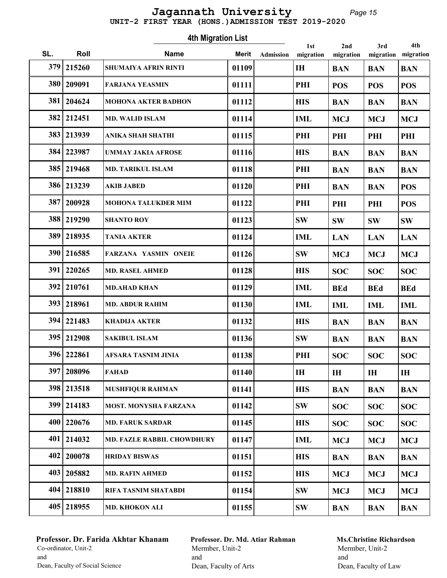#### Page 15 UNIT-2 FIRST YEAR (HONS.)ADMISSION TEST 2019-2020 Jagannath University

| <b>4th Migration List</b><br>1st<br>2nd<br>3rd |              |                                   |       |           |              |            |            |                  |
|------------------------------------------------|--------------|-----------------------------------|-------|-----------|--------------|------------|------------|------------------|
| SL.                                            | Roll         | <b>Name</b>                       | Merit | Admission | migration    | migration  | migration  | 4th<br>migration |
| 379                                            | 215260       | <b>SHUMAIYA AFRIN RINTI</b>       | 01109 |           | <b>IH</b>    | <b>BAN</b> | <b>BAN</b> | <b>BAN</b>       |
| 380                                            | 209091       | <b>FARJANA YEASMIN</b>            | 01111 |           | PHI          | <b>POS</b> | <b>POS</b> | <b>POS</b>       |
| 381                                            | 204624       | <b>MOHONA AKTER BADHON</b>        | 01112 |           | <b>HIS</b>   | <b>BAN</b> | <b>BAN</b> | <b>BAN</b>       |
| 382                                            | 212451       | <b>MD. WALID ISLAM</b>            | 01114 |           | <b>IML</b>   | <b>MCJ</b> | <b>MCJ</b> | <b>MCJ</b>       |
|                                                | 383 213939   | ANIKA SHAH SHATHI                 | 01115 |           | PHI          | PHI        | PHI        | PHI              |
|                                                | 384 223987   | <b>UMMAY JAKIA AFROSE</b>         | 01116 |           | <b>HIS</b>   | <b>BAN</b> | <b>BAN</b> | <b>BAN</b>       |
|                                                | 385   219468 | <b>MD. TARIKUL ISLAM</b>          | 01118 |           | PHI          | <b>BAN</b> | <b>BAN</b> | <b>BAN</b>       |
|                                                | 386 213239   | <b>AKIB JABED</b>                 | 01120 |           | PHI          | <b>BAN</b> | <b>BAN</b> | <b>POS</b>       |
| 387                                            | 200928       | <b>MOHONA TALUKDER MIM</b>        | 01122 |           | PHI          | PHI        | PHI        | <b>POS</b>       |
|                                                | 388 219290   | <b>SHANTO ROY</b>                 | 01123 |           | <b>SW</b>    | <b>SW</b>  | <b>SW</b>  | <b>SW</b>        |
| 389                                            | 218935       | <b>TANIA AKTER</b>                | 01124 |           | <b>IML</b>   | <b>LAN</b> | <b>LAN</b> | <b>LAN</b>       |
| 390                                            | 216585       | <b>FARZANA YASMIN ONEIE</b>       | 01126 |           | <b>SW</b>    | <b>MCJ</b> | <b>MCJ</b> | <b>MCJ</b>       |
| 391                                            | 220265       | <b>MD. RASEL AHMED</b>            | 01128 |           | <b>HIS</b>   | <b>SOC</b> | <b>SOC</b> | <b>SOC</b>       |
| 392                                            | 210761       | <b>MD.AHAD KHAN</b>               | 01129 |           | <b>IML</b>   | <b>BEd</b> | <b>BEd</b> | <b>BEd</b>       |
|                                                | 393   218961 | <b>MD. ABDUR RAHIM</b>            | 01130 |           | <b>IML</b>   | <b>IML</b> | <b>IML</b> | <b>IML</b>       |
| 394                                            | 221483       | <b>KHADIJA AKTER</b>              | 01132 |           | <b>HIS</b>   | <b>BAN</b> | <b>BAN</b> | <b>BAN</b>       |
| 395                                            | 212908       | <b>SAKIBUL ISLAM</b>              | 01136 |           | <b>SW</b>    | <b>BAN</b> | <b>BAN</b> | <b>BAN</b>       |
|                                                | 396 222861   | AFSARA TASNIM JINIA               | 01138 |           | PHI          | <b>SOC</b> | <b>SOC</b> | <b>SOC</b>       |
| 397                                            | 208096       | <b>FAHAD</b>                      | 01140 |           | $\mathbf{H}$ | IH         | IH         | IH               |
|                                                | 398 213518   | <b>MUSHFIQUR RAHMAN</b>           | 01141 |           | <b>HIS</b>   | <b>BAN</b> | <b>BAN</b> | <b>BAN</b>       |
|                                                | 399 214183   | <b>MOST. MONYSHA FARZANA</b>      | 01142 |           | <b>SW</b>    | <b>SOC</b> | <b>SOC</b> | <b>SOC</b>       |
|                                                | 400   220676 | <b>MD. FARUK SARDAR</b>           | 01145 |           | <b>HIS</b>   | <b>SOC</b> | <b>SOC</b> | <b>SOC</b>       |
| 401                                            | 214032       | <b>MD. FAZLE RABBIL CHOWDHURY</b> | 01147 |           | <b>IML</b>   | <b>MCJ</b> | <b>MCJ</b> | <b>MCJ</b>       |
| 402                                            | 200078       | <b>HRIDAY BISWAS</b>              | 01151 |           | <b>HIS</b>   | <b>BAN</b> | <b>BAN</b> | <b>BAN</b>       |
| 403                                            | 205882       | <b>MD. RAFIN AHMED</b>            | 01152 |           | <b>HIS</b>   | <b>MCJ</b> | <b>MCJ</b> | <b>MCJ</b>       |
|                                                | 404 218810   | RIFA TASNIM SHATABDI              | 01154 |           | <b>SW</b>    | <b>MCJ</b> | <b>MCJ</b> | <b>MCJ</b>       |
|                                                | 405 218955   | MD. KHOKON ALI                    | 01155 |           | <b>SW</b>    | <b>BAN</b> | <b>BAN</b> | <b>BAN</b>       |

# Professor. Dr. Farida Akhtar Khanam Co-ordinator, Unit-2 and Dean, Faculty of Social Science

Professor. Dr. Md. Atiar Rahman Mermber, Unit-2 and Dean, Faculty of Arts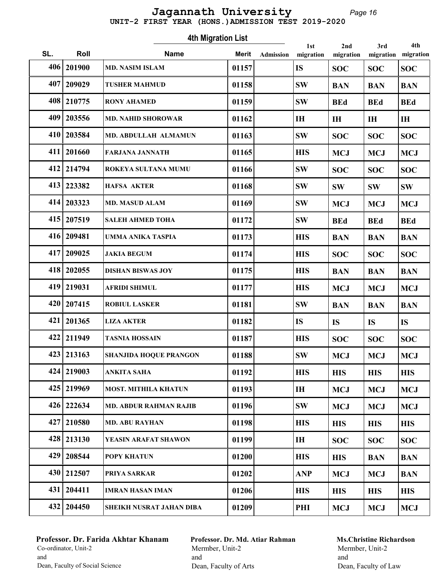#### Page 16 UNIT-2 FIRST YEAR (HONS.)ADMISSION TEST 2019-2020 Jagannath University

Roll Mame Marit 1st SL. Roll **Name** Merit Admission migration 4th Migration List Admission 2nd migration 3rd migration 4th migration 406 201900 MD. NASIM ISLAM 01157 IS SOC SOC SOC  $407|209029$  TUSHER MAHMUD 01158 SW BAN BAN BAN 408 210775 RONY AHAMED 01159 SW BEd BEd BEd 409 203556 MD. NAHID SHOROWAR 01162 IH IH IH IH  $|410|$  203584 MD. ABDULLAH ALMAMUN 01163 SW SOC SOC SOC 411 | 201660 | FARJANA JANNATH | 01165 | HIS | MCJ | MCJ | MCJ | MCJ 412 214794 ROKEYA SULTANA MUMU 01166 SW SOC SOC SOC 413 223382 HAFSA AKTER 01168 SW SW SW SW  $414 | 203323$  MD. MASUD ALAM 01169 SW MCJ MCJ MCJ MCJ 415 | 207519 | SALEH AHMED TOHA | 01172 | SW | BEd | BEd | BEd 416 209481 | UMMA ANIKA TASPIA | 01173 | HIS | BAN | BAN | BAN 417 209025 JAKIA BEGUM 01174 HIS SOC SOC SOC 418 202055 DISHAN BISWAS JOY 01175 HIS BAN BAN BAN 419 219031 AFRIDI SHIMUL 01177 HIS MCJ MCJ MCJ MCJ 420 207415 ROBIUL LASKER 01181 SW BAN BAN BAN 421 | 201365 | LIZA AKTER | 01182 | IS | IS | IS | IS 422 211949 TASNIA HOSSAIN 01187 HIS SOC SOC SOC 423 213163 SHANJIDA HOQUE PRANGON 01188 SW MCJ MCJ MCJ 424 219003 ANKITA SAHA | 01192 HIS | HIS | HIS | HIS 425 219969 | MOST. MITHILA KHATUN | 01193 | IH | MCJ | MCJ | MCJ | MCJ 426 | 222634 | MD. ABDUR RAHMAN RAJIB | 01196 | SW | MCJ | MCJ | MCJ | MCJ  $427|210580$  MD. ABU RAYHAN  $|01198|$  HIS HIS HIS HIS 428 213130 YEASIN ARAFAT SHAWON 01199 IH SOC SOC SOC 429 208544 POPY KHATUN 01200 HIS HIS BAN BAN 430 212507 PRIYA SARKAR  $|01202|$  ANP MCJ MCJ BAN 431 | 204411 | IMRAN HASAN IMAN | 01206 | HIS | HIS | HIS | HIS 432 | 204450 | SHEIKH NUSRAT JAHAN DIBA | 01209 | | PHI | MCJ | MCJ | MCJ | MCJ

## Professor. Dr. Farida Akhtar Khanam Co-ordinator, Unit-2 and Dean, Faculty of Social Science

Professor. Dr. Md. Atiar Rahman Mermber, Unit-2 and Dean, Faculty of Arts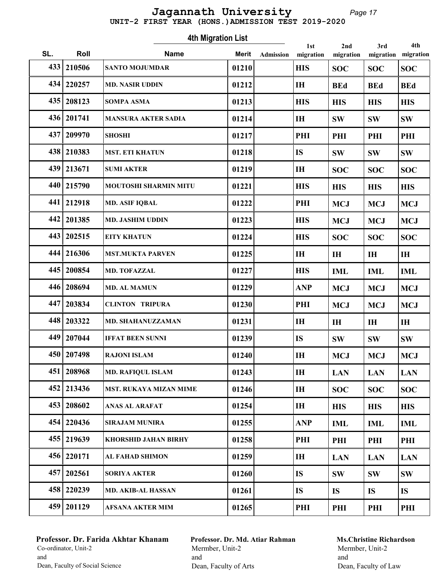#### Page 17 UNIT-2 FIRST YEAR (HONS.)ADMISSION TEST 2019-2020 Jagannath University

Roll Mame Marit 1st SL. Roll **Name** Merit Admission migration 4th Migration List Admission 2nd migration 3rd migration 4th migration 433 210506 SANTO MOJUMDAR 01210 HIS SOC SOC SOC 434 220257 |MD. NASIR UDDIN | 01212 | IH | BEd | BEd | BEd  $435|208123$  SOMPA ASMA  $|01213|$  HIS HIS HIS HIS 436 201741 MANSURA AKTER SADIA 01214 IH SW SW SW 437 209970 SHOSHI 01217 PHI PHI PHI PHI 438 210383 MST. ETI KHATUN 01218 IS SW SW SW 439 213671 SUMI AKTER 01219 IH SOC SOC SOC 440 215790 MOUTOSHI SHARMIN MITU | 01221 HIS | HIS | HIS | HIS | HIS  $441$  212918 MD. ASIF IQBAL 01222 PHI MCJ MCJ MCJ 442 201385 MD. JASHIM UDDIN 01223 HIS MCJ MCJ MCJ MCJ 443 202515 EITY KHATUN 01224 HIS SOC SOC SOC 444 216306 MST.MUKTA PARVEN 01225 IH IH IH IH 445 200854 MD. TOFAZZAL 101227 HIS HIML IML IML 446 208694 MD. AL MAMUN 01229 ANP MCJ MCJ MCJ 447 203834 CLINTON TRIPURA 01230 PHI MCJ MCJ MCJ 448 203322 MD. SHAHANUZZAMAN 01231 IH IH IH IH 449 | 207044 | IFFAT BEEN SUNNI | 01239 | IS | SW | SW | SW  $450|207498$  RAJONI ISLAM 01240 IH MCJ MCJ MCJ MCJ 451 208968 MD. RAFIQUL ISLAM 01243 IH LAN LAN LAN 452 213436 MST. RUKAYA MIZAN MIME 01246 IH SOC SOC SOC  $453 | 208602$  ANAS AL ARAFAT  $| 01254 |$  IH HIS HIS HIS 454 220436 SIRAJAM MUNIRA 01255 ANP IML IML IML 455 219639 KHORSHID JAHAN BIRHY 01258 PHI PHI PHI PHI 456 220171 | AL FAHAD SHIMON | 01259 | IH | LAN | LAN | LAN 457 202561 SORIYA AKTER 101260 IS SW SW SW 458 220239 | MD. AKIB-AL HASSAN | 01261 | IS | IS | IS | IS 459 | 201129 | AFSANA AKTER MIM | 01265 | | PHI | PHI | PHI | PHI

## Professor. Dr. Farida Akhtar Khanam Co-ordinator, Unit-2 and Dean, Faculty of Social Science

Professor. Dr. Md. Atiar Rahman Mermber, Unit-2 and Dean, Faculty of Arts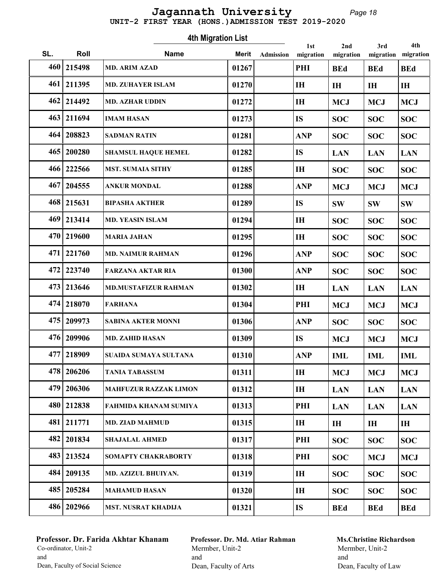#### Page 18 UNIT-2 FIRST YEAR (HONS.)ADMISSION TEST 2019-2020 Jagannath University

Roll Mame Marit 1st SL. Roll **Name** Merit Admission migration 4th Migration List Admission 2nd migration 3rd migration 4th migration 460 215498 MD. ARIM AZAD 01267 PHI BEd BEd BEd 461 211395 MD. ZUHAYER ISLAM 01270 IH IH IH IH  $462 | 214492$  MD. AZHAR UDDIN 01272 IH MCJ MCJ MCJ MCJ  $463|211694$  |IMAM HASAN 01273 | IS | SOC SOC SOC 464 208823 SADMAN RATIN 01281 ANP SOC SOC SOC 465 | 200280 | SHAMSUL HAQUE HEMEL | 01282 | | IS | | LAN | LAN | LAN 466 222566 | MST. SUMAIA SITHY | 01285 | | H | SOC | SOC | SOC 467 204555 ANKUR MONDAL 01288 ANP MCJ MCJ MCJ 468 215631 BIPASHA AKTHER | 01289 | IS | SW | SW | SW 469 213414 MD. YEASIN ISLAM 01294 IH SOC SOC SOC  $470\,$  219600 MARIA JAHAN 01295 IH SOC SOC SOC 471 221760 MD. NAIMUR RAHMAN 01296 ANP SOC SOC SOC 472 223740 FARZANA AKTAR RIA 01300 ANP SOC SOC SOC 473 213646 | MD.MUSTAFIZUR RAHMAN | 01302 | IH | LAN | LAN | LAN 474 218070 FARHANA 01304 01304 PHI MCJ MCJ MCJ 475 209973 SABINA AKTER MONNI 01306 ANP SOC SOC SOC 476 209906 | MD. ZAHID HASAN | 01309 | IS | MCJ | MCJ | MCJ | MCJ 477 218909 SUAIDA SUMAYA SULTANA 01310 ANP IML IML IML  $478 | 206206$  TANIA TABASSUM 01311 IH MCJ MCJ MCJ 479 206306 MAHFUZUR RAZZAK LIMON 01312 IH LAN LAN LAN 480 212838 FAHMIDA KHANAM SUMIYA 01313 PHI LAN LAN LAN 481 211771 MD. ZIAD MAHMUD 01315 IH IH IH IH 482 201834 SHAJALAL AHMED 01317 PHI SOC SOC SOC 483 213524 SOMAPTY CHAKRABORTY | 01318 | PHI SOC | MCJ | MCJ 484 209135 MD. AZIZUL BHUIYAN. 01319 IH  $\vert$  SOC  $\vert$  SOC  $\vert$  SOC  $\vert$  SOC 485 205284 | MAHAMUD HASAN | 01320 | IH | SOC | SOC | SOC 486 202966 MST. NUSRAT KHADIJA 01321 IS BEd BEd BEd

## Professor. Dr. Farida Akhtar Khanam Co-ordinator, Unit-2 and Dean, Faculty of Social Science

Professor. Dr. Md. Atiar Rahman Mermber, Unit-2 and Dean, Faculty of Arts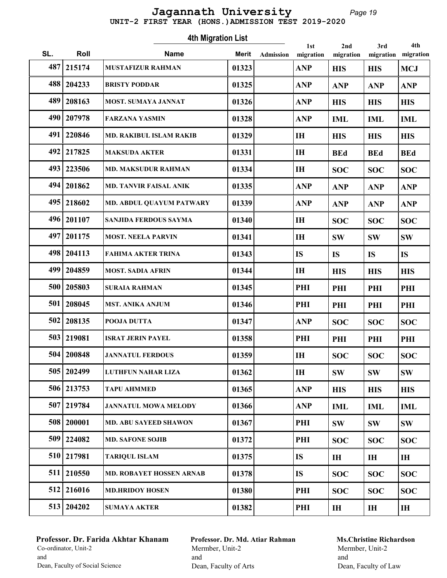#### Page 19 UNIT-2 FIRST YEAR (HONS.)ADMISSION TEST 2019-2020 Jagannath University

|     |              | 2nd                            | 3rd          | 4th              |                  |                |                |                |
|-----|--------------|--------------------------------|--------------|------------------|------------------|----------------|----------------|----------------|
| SL. | Roll         | <b>Name</b>                    | <b>Merit</b> | <b>Admission</b> | 1st<br>migration | migration      | migration      | migration      |
| 487 | 215174       | <b>MUSTAFIZUR RAHMAN</b>       | 01323        |                  | <b>ANP</b>       | <b>HIS</b>     | <b>HIS</b>     | <b>MCJ</b>     |
| 488 | 204233       | <b>BRISTY PODDAR</b>           | 01325        |                  | <b>ANP</b>       | <b>ANP</b>     | <b>ANP</b>     | <b>ANP</b>     |
| 489 | 208163       | <b>MOST. SUMAYA JANNAT</b>     | 01326        |                  | <b>ANP</b>       | <b>HIS</b>     | <b>HIS</b>     | <b>HIS</b>     |
|     | 490   207978 | <b>FARZANA YASMIN</b>          | 01328        |                  | <b>ANP</b>       | <b>IML</b>     | <b>IML</b>     | <b>IML</b>     |
| 491 | 220846       | <b>MD. RAKIBUL ISLAM RAKIB</b> | 01329        |                  | I <sub>H</sub>   | <b>HIS</b>     | <b>HIS</b>     | <b>HIS</b>     |
|     | 492 217825   | <b>MAKSUDA AKTER</b>           | 01331        |                  | IH               | <b>BEd</b>     | <b>BEd</b>     | <b>BEd</b>     |
|     | 493   223506 | <b>MD. MAKSUDUR RAHMAN</b>     | 01334        |                  | I <sub>H</sub>   | <b>SOC</b>     | <b>SOC</b>     | <b>SOC</b>     |
|     | 494   201862 | <b>MD. TANVIR FAISAL ANIK</b>  | 01335        |                  | <b>ANP</b>       | <b>ANP</b>     | <b>ANP</b>     | <b>ANP</b>     |
| 495 | 218602       | MD. ABDUL QUAYUM PATWARY       | 01339        |                  | <b>ANP</b>       | <b>ANP</b>     | <b>ANP</b>     | <b>ANP</b>     |
|     | 496 201107   | SANJIDA FERDOUS SAYMA          | 01340        |                  | I <sub>H</sub>   | <b>SOC</b>     | <b>SOC</b>     | <b>SOC</b>     |
| 497 | 201175       | <b>MOST. NEELA PARVIN</b>      | 01341        |                  | <b>IH</b>        | <b>SW</b>      | <b>SW</b>      | <b>SW</b>      |
| 498 | 204113       | <b>FAHIMA AKTER TRINA</b>      | 01343        |                  | <b>IS</b>        | <b>IS</b>      | <b>IS</b>      | <b>IS</b>      |
| 499 | 204859       | <b>MOST. SADIA AFRIN</b>       | 01344        |                  | IH               | <b>HIS</b>     | <b>HIS</b>     | <b>HIS</b>     |
| 500 | 205803       | <b>SURAIA RAHMAN</b>           | 01345        |                  | PHI              | PHI            | PHI            | PHI            |
| 501 | 208045       | <b>MST. ANIKA ANJUM</b>        | 01346        |                  | PHI              | PHI            | PHI            | PHI            |
| 502 | 208135       | POOJA DUTTA                    | 01347        |                  | <b>ANP</b>       | <b>SOC</b>     | <b>SOC</b>     | <b>SOC</b>     |
|     | 503   219081 | <b>ISRAT JERIN PAYEL</b>       | 01358        |                  | PHI              | PHI            | PHI            | PHI            |
|     | 504   200848 | <b>JANNATUL FERDOUS</b>        | 01359        |                  | IH               | <b>SOC</b>     | <b>SOC</b>     | <b>SOC</b>     |
|     | 505   202499 | <b>LUTHFUN NAHAR LIZA</b>      | 01362        |                  | $\mathbf{H}$     | <b>SW</b>      | <b>SW</b>      | <b>SW</b>      |
|     | 506 213753   | <b>TAPU AHMMED</b>             | 01365        |                  | <b>ANP</b>       | <b>HIS</b>     | <b>HIS</b>     | <b>HIS</b>     |
|     | 507 219784   | <b>JANNATUL MOWA MELODY</b>    | 01366        |                  | <b>ANP</b>       | <b>IML</b>     | <b>IML</b>     | <b>IML</b>     |
|     | 508   200001 | <b>MD. ABU SAYEED SHAWON</b>   | 01367        |                  | PHI              | <b>SW</b>      | <b>SW</b>      | <b>SW</b>      |
|     | 509 224082   | <b>MD. SAFONE SOJIB</b>        | 01372        |                  | PHI              | <b>SOC</b>     | <b>SOC</b>     | <b>SOC</b>     |
|     | 510 217981   | <b>TARIQUL ISLAM</b>           | 01375        |                  | <b>IS</b>        | $\mathbf{H}$   | I <sub>H</sub> | I <sub>H</sub> |
| 511 | 210550       | MD. ROBAYET HOSSEN ARNAB       | 01378        |                  | <b>IS</b>        | <b>SOC</b>     | <b>SOC</b>     | <b>SOC</b>     |
| 512 | 216016       | <b>MD.HRIDOY HOSEN</b>         | 01380        |                  | PHI              | <b>SOC</b>     | <b>SOC</b>     | <b>SOC</b>     |
|     | 513 204202   | <b>SUMAYA AKTER</b>            | 01382        |                  | PHI              | I <sub>H</sub> | IH             | $I\!H$         |

# Professor. Dr. Farida Akhtar Khanam Co-ordinator, Unit-2 and Dean, Faculty of Social Science

Professor. Dr. Md. Atiar Rahman Mermber, Unit-2 and Dean, Faculty of Arts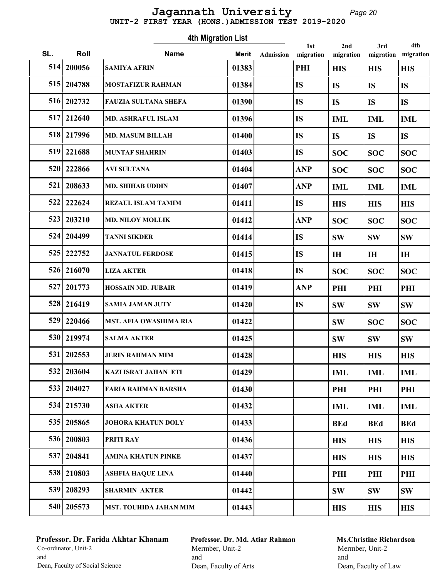#### Page 20 UNIT-2 FIRST YEAR (HONS.)ADMISSION TEST 2019-2020 Jagannath University

Roll Mame Marit 1st SL. Roll **Name** Merit Admission migration 4th Migration List Admission 2nd migration 3rd migration 4th migration 514 200056 SAMIYA AFRIN | 01383 PHI | HIS | HIS | HIS 515 204788 MOSTAFIZUR RAHMAN 101384 IS IS IS 516 202732 FAUZIA SULTANA SHEFA 101390 IS IS IS IS 517 212640 | MD. ASHRAFUL ISLAM | 01396 | IS | IML | IML | IML 518 217996 | MD. MASUM BILLAH | 01400 | IS | IS | IS | IS 519 221688 | MUNTAF SHAHRIN | 01403 | IS | SOC | SOC | SOC  $520 | 222866$  AVI SULTANA 01404 ANP SOC SOC SOC 521 | 208633 | MD. SHIHAB UDDIN | 01407 | ANP | ML | ML | ML 522 222624 REZAUL ISLAM TAMIM 01411 IS HIS HIS HIS 523 203210 MD. NILOY MOLLIK 01412 ANP SOC SOC SOC 524 204499 TANNI SIKDER 101414 IS SW SW SW 525 222752 JJANNATUL FERDOSE 101415 IS IH IH IH 526 216070 LIZA AKTER 01418 IS SOC SOC SOC 527 201773 HOSSAIN MD. JUBAIR 01419 ANP PHI PHI PHI 528 216419 SAMIA JAMAN JUTY 101420 IS SW SW SW 529 220466 MST. AFIA OWASHIMA RIA 01422 SW SOC SOC 530 219974 SALMA AKTER 01425 SW SW SW 531 | 202553 | JERIN RAHMAN MIM | 01428 | HIS | HIS | HIS | HIS 532 203604 KAZI ISRAT JAHAN ETI 01429 IML IML IML 533 | 204027 | FARIA RAHMAN BARSHA | 01430 | PHI PHI PHI PHI PHI 534 215730 ASHA AKTER 01432 IML IML IML 535 205865 JOHORA KHATUN DOLY 01433 BEd BEd BEd 536 200803 PRITI RAY | 01436 HIS | HIS | HIS | HIS 537 204841 AMINA KHATUN PINKE 01437 HIS HIS HIS 538 210803 ASHFIA HAQUE LINA 01440 PHI PHI PHI 539 208293 SHARMIN AKTER 01442 SW SW SW 540 205573 MST. TOUHIDA JAHAN MIM 01443 HIS HIS HIS HIS

## Professor. Dr. Farida Akhtar Khanam Co-ordinator, Unit-2 and Dean, Faculty of Social Science

Professor. Dr. Md. Atiar Rahman Mermber, Unit-2 and Dean, Faculty of Arts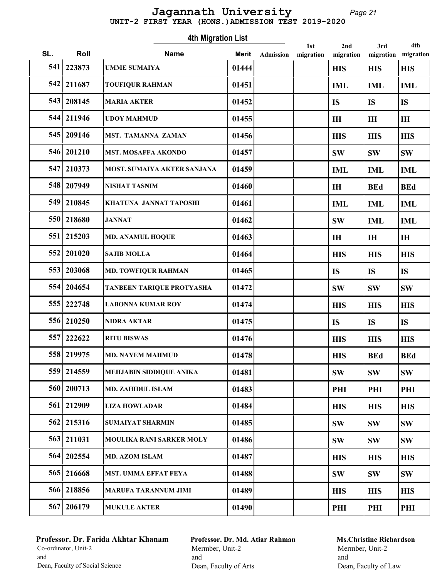# UNIT-2 FIRST YEAR (HONS.)ADMISSION TEST 2019-2020 Jagannath University

Page 21

|     | <b>4th Migration List</b><br>4th<br>2nd<br>3rd<br>1st |                                    |       |           |           |                |            |                |  |  |  |  |
|-----|-------------------------------------------------------|------------------------------------|-------|-----------|-----------|----------------|------------|----------------|--|--|--|--|
| SL. | Roll                                                  | <b>Name</b>                        | Merit | Admission | migration | migration      | migration  | migration      |  |  |  |  |
| 541 | 223873                                                | <b>UMME SUMAIYA</b>                | 01444 |           |           | <b>HIS</b>     | <b>HIS</b> | <b>HIS</b>     |  |  |  |  |
| 542 | 211687                                                | <b>TOUFIQUR RAHMAN</b>             | 01451 |           |           | <b>IML</b>     | <b>IML</b> | <b>IML</b>     |  |  |  |  |
| 543 | 208145                                                | <b>MARIA AKTER</b>                 | 01452 |           |           | <b>IS</b>      | <b>IS</b>  | <b>IS</b>      |  |  |  |  |
|     | 544 211946                                            | <b>UDOY MAHMUD</b>                 | 01455 |           |           | I <sub>H</sub> | IH         | I <sub>H</sub> |  |  |  |  |
|     | 545 209146                                            | MST. TAMANNA ZAMAN                 | 01456 |           |           | <b>HIS</b>     | <b>HIS</b> | <b>HIS</b>     |  |  |  |  |
|     | 546 201210                                            | MST. MOSAFFA AKONDO                | 01457 |           |           | <b>SW</b>      | <b>SW</b>  | <b>SW</b>      |  |  |  |  |
| 547 | 210373                                                | <b>MOST. SUMAIYA AKTER SANJANA</b> | 01459 |           |           | <b>IML</b>     | <b>IML</b> | <b>IML</b>     |  |  |  |  |
| 548 | 207949                                                | <b>NISHAT TASNIM</b>               | 01460 |           |           | I <sub>H</sub> | <b>BEd</b> | <b>BEd</b>     |  |  |  |  |
| 549 | 210845                                                | KHATUNA JANNAT TAPOSHI             | 01461 |           |           | <b>IML</b>     | <b>IML</b> | <b>IML</b>     |  |  |  |  |
| 550 | 218680                                                | <b>JANNAT</b>                      | 01462 |           |           | <b>SW</b>      | <b>IML</b> | <b>IML</b>     |  |  |  |  |
| 551 | 215203                                                | <b>MD. ANAMUL HOQUE</b>            | 01463 |           |           | I <sub>H</sub> | IH         | I <sub>H</sub> |  |  |  |  |
| 552 | 201020                                                | <b>SAJIB MOLLA</b>                 | 01464 |           |           | <b>HIS</b>     | <b>HIS</b> | <b>HIS</b>     |  |  |  |  |
|     | 553   203068                                          | <b>MD. TOWFIQUR RAHMAN</b>         | 01465 |           |           | <b>IS</b>      | <b>IS</b>  | <b>IS</b>      |  |  |  |  |
|     | 554 204654                                            | TANBEEN TARIQUE PROTYASHA          | 01472 |           |           | <b>SW</b>      | <b>SW</b>  | <b>SW</b>      |  |  |  |  |
| 555 | 222748                                                | <b>LABONNA KUMAR ROY</b>           | 01474 |           |           | <b>HIS</b>     | <b>HIS</b> | <b>HIS</b>     |  |  |  |  |
| 556 | 210250                                                | <b>NIDRA AKTAR</b>                 | 01475 |           |           | <b>IS</b>      | <b>IS</b>  | <b>IS</b>      |  |  |  |  |
| 557 | 222622                                                | <b>RITU BISWAS</b>                 | 01476 |           |           | <b>HIS</b>     | <b>HIS</b> | <b>HIS</b>     |  |  |  |  |
|     | 558 219975                                            | <b>MD. NAYEM MAHMUD</b>            | 01478 |           |           | <b>HIS</b>     | <b>BEd</b> | <b>BEd</b>     |  |  |  |  |
| 559 | 214559                                                | MEHJABIN SIDDIQUE ANIKA            | 01481 |           |           | <b>SW</b>      | <b>SW</b>  | <b>SW</b>      |  |  |  |  |
|     | 560   200713                                          | <b>MD. ZAHIDUL ISLAM</b>           | 01483 |           |           | PHI            | PHI        | PHI            |  |  |  |  |
|     | 561 212909                                            | <b>LIZA HOWLADAR</b>               | 01484 |           |           | <b>HIS</b>     | <b>HIS</b> | <b>HIS</b>     |  |  |  |  |
| 562 | 215316                                                | <b>SUMAIYAT SHARMIN</b>            | 01485 |           |           | <b>SW</b>      | <b>SW</b>  | <b>SW</b>      |  |  |  |  |
| 563 | 211031                                                | MOULIKA RANI SARKER MOLY           | 01486 |           |           | <b>SW</b>      | <b>SW</b>  | <b>SW</b>      |  |  |  |  |
|     | 564 202554                                            | MD. AZOM ISLAM                     | 01487 |           |           | <b>HIS</b>     | <b>HIS</b> | <b>HIS</b>     |  |  |  |  |
|     | 565 216668                                            | MST. UMMA EFFAT FEYA               | 01488 |           |           | <b>SW</b>      | <b>SW</b>  | <b>SW</b>      |  |  |  |  |
|     | 566 218856                                            | <b>MARUFA TARANNUM JIMI</b>        | 01489 |           |           | <b>HIS</b>     | <b>HIS</b> | <b>HIS</b>     |  |  |  |  |
|     | 567 206179                                            | <b>MUKULE AKTER</b>                | 01490 |           |           | PHI            | PHI        | PHI            |  |  |  |  |

# Professor. Dr. Farida Akhtar Khanam Co-ordinator, Unit-2 and Dean, Faculty of Social Science

Professor. Dr. Md. Atiar Rahman Mermber, Unit-2 and Dean, Faculty of Arts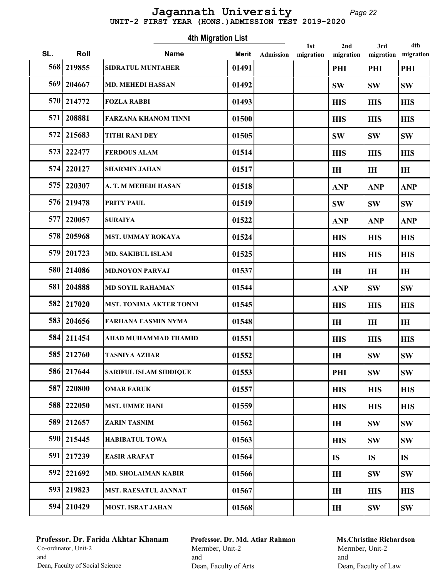# Page 22 Jagannath University

 UNIT-2 FIRST YEAR (HONS.)ADMISSION TEST 2019-2020 4th Migration List  $\overline{\phantom{0}}$ 1st<br>digrafic 2nd 4th 3rd Morit Admission SL. Roll **Name** Merit Admission migration Roll Mame Marit migration migration migration

| ง∟. | ROIL       | manne                          | Merit | Admission | migration | migration      |            | migration migration |
|-----|------------|--------------------------------|-------|-----------|-----------|----------------|------------|---------------------|
|     | 568 219855 | SIDRATUL MUNTAHER              | 01491 |           |           | PHI            | PHI        | PHI                 |
| 569 | 204667     | <b>MD. MEHEDI HASSAN</b>       | 01492 |           |           | <b>SW</b>      | <b>SW</b>  | <b>SW</b>           |
| 570 | 214772     | <b>FOZLA RABBI</b>             | 01493 |           |           | <b>HIS</b>     | <b>HIS</b> | <b>HIS</b>          |
| 571 | 208881     | <b>FARZANA KHANOM TINNI</b>    | 01500 |           |           | <b>HIS</b>     | <b>HIS</b> | <b>HIS</b>          |
| 572 | 215683     | <b>TITHI RANI DEY</b>          | 01505 |           |           | <b>SW</b>      | <b>SW</b>  | <b>SW</b>           |
|     | 573 222477 | <b>FERDOUS ALAM</b>            | 01514 |           |           | <b>HIS</b>     | <b>HIS</b> | <b>HIS</b>          |
| 574 | 220127     | <b>SHARMIN JAHAN</b>           | 01517 |           |           | I <sub>H</sub> | IH         | I <sub>H</sub>      |
| 575 | 220307     | A. T. M MEHEDI HASAN           | 01518 |           |           | <b>ANP</b>     | <b>ANP</b> | <b>ANP</b>          |
| 576 | 219478     | PRITY PAUL                     | 01519 |           |           | <b>SW</b>      | <b>SW</b>  | <b>SW</b>           |
| 577 | 220057     | <b>SURAIYA</b>                 | 01522 |           |           | <b>ANP</b>     | <b>ANP</b> | <b>ANP</b>          |
| 578 | 205968     | <b>MST. UMMAY ROKAYA</b>       | 01524 |           |           | <b>HIS</b>     | <b>HIS</b> | <b>HIS</b>          |
| 579 | 201723     | MD. SAKIBUL ISLAM              | 01525 |           |           | <b>HIS</b>     | <b>HIS</b> | <b>HIS</b>          |
| 580 | 214086     | <b>MD.NOYON PARVAJ</b>         | 01537 |           |           | <b>IH</b>      | IH         | IH                  |
| 581 | 204888     | <b>MD SOYIL RAHAMAN</b>        | 01544 |           |           | <b>ANP</b>     | <b>SW</b>  | <b>SW</b>           |
| 582 | 217020     | <b>MST. TONIMA AKTER TONNI</b> | 01545 |           |           | <b>HIS</b>     | <b>HIS</b> | <b>HIS</b>          |
| 583 | 204656     | <b>FARHANA EASMIN NYMA</b>     | 01548 |           |           | <b>IH</b>      | IH         | I <sub>H</sub>      |
|     | 584 211454 | AHAD MUHAMMAD THAMID           | 01551 |           |           | <b>HIS</b>     | <b>HIS</b> | <b>HIS</b>          |
|     | 585 212760 | <b>TASNIYA AZHAR</b>           | 01552 |           |           | I <sub>H</sub> | <b>SW</b>  | <b>SW</b>           |
|     | 586 217644 | <b>SARIFUL ISLAM SIDDIQUE</b>  | 01553 |           |           | PHI            | <b>SW</b>  | <b>SW</b>           |
| 587 | 220800     | <b>OMAR FARUK</b>              | 01557 |           |           | <b>HIS</b>     | <b>HIS</b> | <b>HIS</b>          |
|     | 588 222050 | <b>MST. UMME HANI</b>          | 01559 |           |           | <b>HIS</b>     | <b>HIS</b> | <b>HIS</b>          |
| 589 | 212657     | <b>ZARIN TASNIM</b>            | 01562 |           |           | IH             | <b>SW</b>  | <b>SW</b>           |
|     | 590 215445 | <b>HABIBATUL TOWA</b>          | 01563 |           |           | <b>HIS</b>     | <b>SW</b>  | <b>SW</b>           |
| 591 | 217239     | <b>EASIR ARAFAT</b>            | 01564 |           |           | <b>IS</b>      | <b>IS</b>  | <b>IS</b>           |
| 592 | 221692     | <b>MD. SHOLAIMAN KABIR</b>     | 01566 |           |           | I <sub>H</sub> | <b>SW</b>  | <b>SW</b>           |
|     | 593 219823 | <b>MST. RAESATUL JANNAT</b>    | 01567 |           |           | $\mathbf{H}$   | <b>HIS</b> | <b>HIS</b>          |
|     | 594 210429 | <b>MOST. ISRAT JAHAN</b>       | 01568 |           |           | $\mathbf{H}$   | <b>SW</b>  | <b>SW</b>           |
|     |            |                                |       |           |           |                |            |                     |

## Professor. Dr. Farida Akhtar Khanam Co-ordinator, Unit-2 and Dean, Faculty of Social Science

Professor. Dr. Md. Atiar Rahman Mermber, Unit-2 and Dean, Faculty of Arts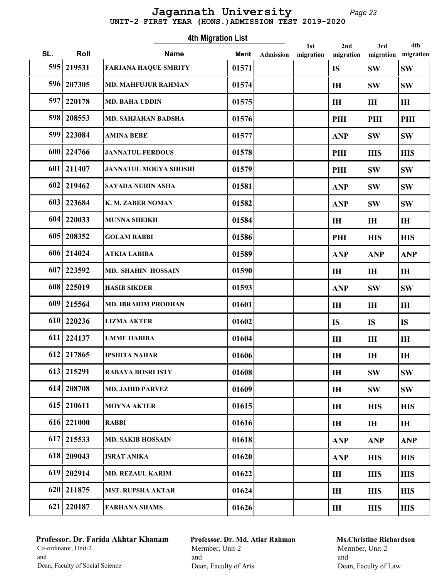# UNIT-2 FIRST YEAR (HONS.)ADMISSION TEST 2019-2020 Jagannath University

Page 23

|     | <b>4th Migration List</b><br>4th<br>2nd<br>3rd<br>1st |                              |              |                  |           |                |                |                |  |  |  |  |
|-----|-------------------------------------------------------|------------------------------|--------------|------------------|-----------|----------------|----------------|----------------|--|--|--|--|
| SL. | Roll                                                  | <b>Name</b>                  | <b>Merit</b> | <b>Admission</b> | migration | migration      | migration      | migration      |  |  |  |  |
| 595 | 219531                                                | <b>FARJANA HAQUE SMRITY</b>  | 01571        |                  |           | <b>IS</b>      | <b>SW</b>      | <b>SW</b>      |  |  |  |  |
| 596 | 207305                                                | <b>MD. MAHFUJUR RAHMAN</b>   | 01574        |                  |           | IH             | <b>SW</b>      | <b>SW</b>      |  |  |  |  |
| 597 | 220178                                                | <b>MD. BAHA UDDIN</b>        | 01575        |                  |           | <b>IH</b>      | I <sub>H</sub> | IH             |  |  |  |  |
| 598 | 208553                                                | MD. SAHJAHAN BADSHA          | 01576        |                  |           | PHI            | PHI            | PHI            |  |  |  |  |
|     | 599 223084                                            | <b>AMINA BEBE</b>            | 01577        |                  |           | <b>ANP</b>     | <b>SW</b>      | <b>SW</b>      |  |  |  |  |
|     | 600   224766                                          | <b>JANNATUL FERDOUS</b>      | 01578        |                  |           | PHI            | <b>HIS</b>     | <b>HIS</b>     |  |  |  |  |
| 601 | 211407                                                | <b>JANNATUL MOUYA SHOSHI</b> | 01579        |                  |           | PHI            | <b>SW</b>      | <b>SW</b>      |  |  |  |  |
| 602 | 219462                                                | SAYADA NURIN ASHA            | 01581        |                  |           | <b>ANP</b>     | <b>SW</b>      | <b>SW</b>      |  |  |  |  |
| 603 | 223684                                                | K. M. ZABER NOMAN            | 01582        |                  |           | <b>ANP</b>     | <b>SW</b>      | <b>SW</b>      |  |  |  |  |
| 604 | 220033                                                | <b>MUNNA SHEIKH</b>          | 01584        |                  |           | <b>IH</b>      | IH             | IH             |  |  |  |  |
| 605 | 208352                                                | <b>GOLAM RABBI</b>           | 01586        |                  |           | PHI            | <b>HIS</b>     | <b>HIS</b>     |  |  |  |  |
| 606 | 214024                                                | <b>ATKIA LABIBA</b>          | 01589        |                  |           | <b>ANP</b>     | <b>ANP</b>     | <b>ANP</b>     |  |  |  |  |
| 607 | 223592                                                | MD. SHAHIN HOSSAIN           | 01590        |                  |           | IH             | IH             | IH             |  |  |  |  |
| 608 | 225019                                                | <b>HASIB SIKDER</b>          | 01593        |                  |           | <b>ANP</b>     | <b>SW</b>      | <b>SW</b>      |  |  |  |  |
| 609 | 215564                                                | <b>MD. IBRAHIM PRODHAN</b>   | 01601        |                  |           | <b>IH</b>      | IH             | IH             |  |  |  |  |
| 610 | 220236                                                | <b>LIZMA AKTER</b>           | 01602        |                  |           | <b>IS</b>      | <b>IS</b>      | <b>IS</b>      |  |  |  |  |
| 611 | 224137                                                | <b>UMME HABIBA</b>           | 01604        |                  |           | <b>IH</b>      | IH             | IH             |  |  |  |  |
|     | 612 217865                                            | <b>IPSHITA NAHAR</b>         | 01606        |                  |           | IH             | IH             | IH             |  |  |  |  |
|     | 613 215291                                            | <b>RABAYA BOSRI ISTY</b>     | 01608        |                  |           | IH             | <b>SW</b>      | <b>SW</b>      |  |  |  |  |
|     | 614 208708                                            | <b>MD. JAHID PARVEZ</b>      | 01609        |                  |           | IH             | <b>SW</b>      | <b>SW</b>      |  |  |  |  |
|     | 615 210611                                            | <b>MOYNA AKTER</b>           | 01615        |                  |           | I <sub>H</sub> | <b>HIS</b>     | <b>HIS</b>     |  |  |  |  |
|     | 616 221000                                            | <b>RABBI</b>                 | 01616        |                  |           | IH             | I <sub>H</sub> | I <sub>H</sub> |  |  |  |  |
| 617 | 215533                                                | <b>MD. SAKIB HOSSAIN</b>     | 01618        |                  |           | <b>ANP</b>     | <b>ANP</b>     | <b>ANP</b>     |  |  |  |  |
|     | 618 209043                                            | <b>ISRAT ANIKA</b>           | 01620        |                  |           | <b>ANP</b>     | <b>HIS</b>     | <b>HIS</b>     |  |  |  |  |
|     | $619$   202914                                        | <b>MD. REZAUL KARIM</b>      | 01622        |                  |           | IH             | <b>HIS</b>     | <b>HIS</b>     |  |  |  |  |
|     | 620 211875                                            | <b>MST. RUPSHA AKTAR</b>     | 01624        |                  |           | IH             | <b>HIS</b>     | <b>HIS</b>     |  |  |  |  |
|     | 621   220187                                          | <b>FARHANA SHAMS</b>         | 01626        |                  |           | $\mathbf{I}$   | <b>HIS</b>     | <b>HIS</b>     |  |  |  |  |

# Professor. Dr. Farida Akhtar Khanam Co-ordinator, Unit-2 and Dean, Faculty of Social Science

Professor. Dr. Md. Atiar Rahman Mermber, Unit-2 and Dean, Faculty of Arts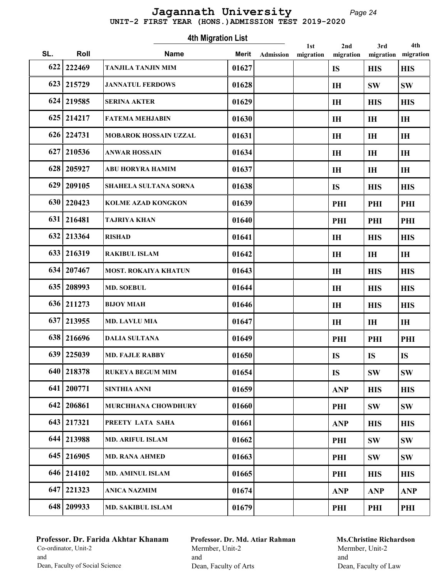# Jagannath University

Page 24

|                    |  |  | UNIT-2 FIRST YEAR (HONS.) ADMISSION TEST 2019-2020 |  |  |  |  |  |
|--------------------|--|--|----------------------------------------------------|--|--|--|--|--|
| 4th Migration List |  |  |                                                    |  |  |  |  |  |

| SL. | Roll         | <b>Name</b>                 | Merit | <b>Admission</b> | 1st<br>migration | 2nd<br>migration | 3rd<br>migration | 4th<br>migration |
|-----|--------------|-----------------------------|-------|------------------|------------------|------------------|------------------|------------------|
| 622 | 222469       | <b>TANJILA TANJIN MIM</b>   | 01627 |                  |                  | <b>IS</b>        | <b>HIS</b>       | <b>HIS</b>       |
|     | 623 215729   | <b>JANNATUL FERDOWS</b>     | 01628 |                  |                  | I <sub>H</sub>   | <b>SW</b>        | <b>SW</b>        |
|     | 624 219585   | <b>SERINA AKTER</b>         | 01629 |                  |                  | I <sub>H</sub>   | <b>HIS</b>       | <b>HIS</b>       |
|     | 625 214217   | <b>FATEMA MEHJABIN</b>      | 01630 |                  |                  | <b>IH</b>        | IH               | IH               |
|     | 626 224731   | MOBAROK HOSSAIN UZZAL       | 01631 |                  |                  | <b>IH</b>        | IH               | IH               |
|     | 627 210536   | <b>ANWAR HOSSAIN</b>        | 01634 |                  |                  | I <sub>H</sub>   | IH               | IH               |
| 628 | 205927       | ABU HORYRA HAMIM            | 01637 |                  |                  | <b>IH</b>        | IH               | IH               |
| 629 | 209105       | SHAHELA SULTANA SORNA       | 01638 |                  |                  | <b>IS</b>        | <b>HIS</b>       | <b>HIS</b>       |
|     | 630 220423   | <b>KOLME AZAD KONGKON</b>   | 01639 |                  |                  | PHI              | PHI              | PHI              |
|     | 631 216481   | <b>TAJRIYA KHAN</b>         | 01640 |                  |                  | PHI              | PHI              | PHI              |
|     | 632 213364   | <b>RISHAD</b>               | 01641 |                  |                  | $\mathbf{H}$     | <b>HIS</b>       | <b>HIS</b>       |
|     | 633 216319   | <b>RAKIBUL ISLAM</b>        | 01642 |                  |                  | I <sub>H</sub>   | IH               | IH               |
|     | 634 207467   | <b>MOST. ROKAIYA KHATUN</b> | 01643 |                  |                  | I <sub>H</sub>   | <b>HIS</b>       | <b>HIS</b>       |
|     | 635   208993 | <b>MD. SOEBUL</b>           | 01644 |                  |                  | <b>IH</b>        | <b>HIS</b>       | <b>HIS</b>       |
|     | 636 211273   | <b>BIJOY MIAH</b>           | 01646 |                  |                  | <b>IH</b>        | <b>HIS</b>       | <b>HIS</b>       |
|     | 637 213955   | <b>MD. LAVLU MIA</b>        | 01647 |                  |                  | I <sub>H</sub>   | IH               | IH               |
|     | 638 216696   | <b>DALIA SULTANA</b>        | 01649 |                  |                  | PHI              | PHI              | PHI              |
|     | 639 225039   | <b>MD. FAJLE RABBY</b>      | 01650 |                  |                  | <b>IS</b>        | <b>IS</b>        | <b>IS</b>        |
| 640 | 218378       | <b>RUKEYA BEGUM MIM</b>     | 01654 |                  |                  | <b>IS</b>        | <b>SW</b>        | <b>SW</b>        |
|     | 641   200771 | <b>SINTHIA ANNI</b>         | 01659 |                  |                  | <b>ANP</b>       | <b>HIS</b>       | <b>HIS</b>       |
| 642 | 206861       | MURCHHANA CHOWDHURY         | 01660 |                  |                  | PHI              | <b>SW</b>        | <b>SW</b>        |
|     | 643 217321   | PREETY LATA SAHA            | 01661 |                  |                  | <b>ANP</b>       | <b>HIS</b>       | <b>HIS</b>       |
| 644 | 213988       | MD. ARIFUL ISLAM            | 01662 |                  |                  | PHI              | <b>SW</b>        | <b>SW</b>        |
|     | 645 216905   | <b>MD. RANA AHMED</b>       | 01663 |                  |                  | PHI              | <b>SW</b>        | <b>SW</b>        |
|     | 646 214102   | <b>MD. AMINUL ISLAM</b>     | 01665 |                  |                  | PHI              | <b>HIS</b>       | <b>HIS</b>       |
|     | 647 221323   | <b>ANICA NAZMIM</b>         | 01674 |                  |                  | <b>ANP</b>       | <b>ANP</b>       | <b>ANP</b>       |
|     | 648 209933   | <b>MD. SAKIBUL ISLAM</b>    | 01679 |                  |                  | PHI              | PHI              | PHI              |

# Professor. Dr. Farida Akhtar Khanam Co-ordinator, Unit-2 and Dean, Faculty of Social Science

Professor. Dr. Md. Atiar Rahman Mermber, Unit-2 and Dean, Faculty of Arts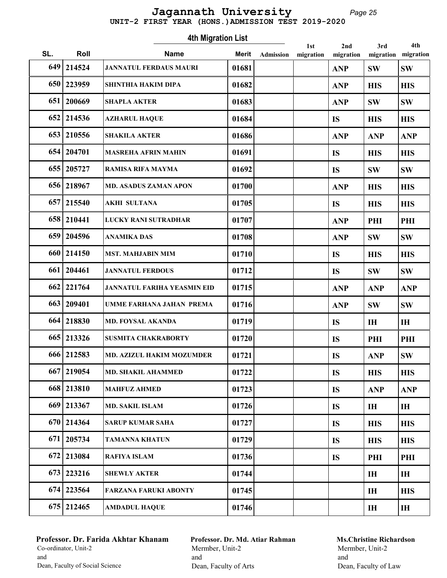# UNIT-2 FIRST YEAR (HONS.)ADMISSION TEST 2019-2020 Jagannath University

Page 25

|     | <b>4th Migration List</b><br>4th<br>2nd<br>3rd<br>1st |                                    |              |           |           |            |                |                |  |  |
|-----|-------------------------------------------------------|------------------------------------|--------------|-----------|-----------|------------|----------------|----------------|--|--|
| SL. | Roll                                                  | <b>Name</b>                        | <b>Merit</b> | Admission | migration | migration  | migration      | migration      |  |  |
| 649 | 214524                                                | <b>JANNATUL FERDAUS MAURI</b>      | 01681        |           |           | <b>ANP</b> | <b>SW</b>      | <b>SW</b>      |  |  |
| 650 | 223959                                                | <b>SHINTHIA HAKIM DIPA</b>         | 01682        |           |           | <b>ANP</b> | <b>HIS</b>     | <b>HIS</b>     |  |  |
| 651 | 200669                                                | <b>SHAPLA AKTER</b>                | 01683        |           |           | <b>ANP</b> | <b>SW</b>      | <b>SW</b>      |  |  |
| 652 | 214536                                                | <b>AZHARUL HAQUE</b>               | 01684        |           |           | <b>IS</b>  | <b>HIS</b>     | <b>HIS</b>     |  |  |
| 653 | 210556                                                | <b>SHAKILA AKTER</b>               | 01686        |           |           | <b>ANP</b> | <b>ANP</b>     | <b>ANP</b>     |  |  |
|     | 654 204701                                            | <b>MASREHA AFRIN MAHIN</b>         | 01691        |           |           | <b>IS</b>  | <b>HIS</b>     | <b>HIS</b>     |  |  |
|     | 655 205727                                            | RAMISA RIFA MAYMA                  | 01692        |           |           | <b>IS</b>  | <b>SW</b>      | <b>SW</b>      |  |  |
|     | 656 218967                                            | <b>MD. ASADUS ZAMAN APON</b>       | 01700        |           |           | <b>ANP</b> | <b>HIS</b>     | <b>HIS</b>     |  |  |
| 657 | 215540                                                | <b>AKHI SULTANA</b>                | 01705        |           |           | <b>IS</b>  | <b>HIS</b>     | <b>HIS</b>     |  |  |
| 658 | 210441                                                | LUCKY RANI SUTRADHAR               | 01707        |           |           | <b>ANP</b> | PHI            | PHI            |  |  |
| 659 | 204596                                                | <b>ANAMIKA DAS</b>                 | 01708        |           |           | <b>ANP</b> | <b>SW</b>      | <b>SW</b>      |  |  |
| 660 | 214150                                                | <b>MST. MAHJABIN MIM</b>           | 01710        |           |           | <b>IS</b>  | <b>HIS</b>     | <b>HIS</b>     |  |  |
| 661 | 204461                                                | <b>JANNATUL FERDOUS</b>            | 01712        |           |           | <b>IS</b>  | <b>SW</b>      | <b>SW</b>      |  |  |
| 662 | 221764                                                | <b>JANNATUL FARIHA YEASMIN EID</b> | 01715        |           |           | <b>ANP</b> | <b>ANP</b>     | <b>ANP</b>     |  |  |
| 663 | 209401                                                | UMME FARHANA JAHAN PREMA           | 01716        |           |           | <b>ANP</b> | <b>SW</b>      | <b>SW</b>      |  |  |
| 664 | 218830                                                | <b>MD. FOYSAL AKANDA</b>           | 01719        |           |           | <b>IS</b>  | <b>IH</b>      | <b>IH</b>      |  |  |
| 665 | 213326                                                | <b>SUSMITA CHAKRABORTY</b>         | 01720        |           |           | <b>IS</b>  | PHI            | PHI            |  |  |
|     | 666 212583                                            | <b>MD. AZIZUL HAKIM MOZUMDER</b>   | 01721        |           |           | <b>IS</b>  | <b>ANP</b>     | <b>SW</b>      |  |  |
| 667 | 219054                                                | <b>MD. SHAKIL AHAMMED</b>          | 01722        |           |           | <b>IS</b>  | <b>HIS</b>     | <b>HIS</b>     |  |  |
|     | 668 213810                                            | <b>MAHFUZ AHMED</b>                | 01723        |           |           | <b>IS</b>  | <b>ANP</b>     | <b>ANP</b>     |  |  |
|     | 669 213367                                            | <b>MD. SAKIL ISLAM</b>             | 01726        |           |           | <b>IS</b>  | I <sub>H</sub> | $\mathbf{H}$   |  |  |
|     | 670   214364                                          | <b>SARUP KUMAR SAHA</b>            | 01727        |           |           | <b>IS</b>  | <b>HIS</b>     | <b>HIS</b>     |  |  |
| 671 | 205734                                                | <b>TAMANNA KHATUN</b>              | 01729        |           |           | <b>IS</b>  | <b>HIS</b>     | <b>HIS</b>     |  |  |
| 672 | 213084                                                | <b>RAFIYA ISLAM</b>                | 01736        |           |           | <b>IS</b>  | PHI            | PHI            |  |  |
| 673 | 223216                                                | <b>SHEWLY AKTER</b>                | 01744        |           |           |            | I <sub>H</sub> | IH             |  |  |
|     | 674 223564                                            | <b>FARZANA FARUKI ABONTY</b>       | 01745        |           |           |            | IH             | <b>HIS</b>     |  |  |
|     | 675 212465                                            | <b>AMDADUL HAQUE</b>               | 01746        |           |           |            | I <sub>H</sub> | I <sub>H</sub> |  |  |

# Professor. Dr. Farida Akhtar Khanam Co-ordinator, Unit-2 and Dean, Faculty of Social Science

Professor. Dr. Md. Atiar Rahman Mermber, Unit-2 and Dean, Faculty of Arts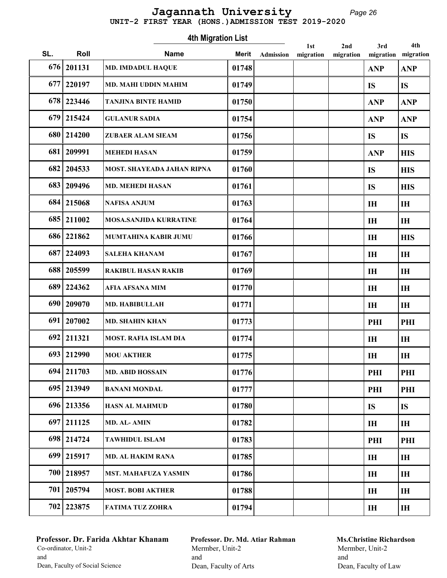# UNIT-2 FIRST YEAR (HONS.)ADMISSION TEST 2019-2020 Jagannath University

Page 26

|     | <b>4th Migration List</b><br>4th<br>3rd<br>1st<br>2nd |                                   |              |                  |           |           |                |            |  |  |  |
|-----|-------------------------------------------------------|-----------------------------------|--------------|------------------|-----------|-----------|----------------|------------|--|--|--|
| SL. | Roll                                                  | <b>Name</b>                       | <b>Merit</b> | <b>Admission</b> | migration | migration | migration      | migration  |  |  |  |
| 676 | 201131                                                | <b>MD. IMDADUL HAQUE</b>          | 01748        |                  |           |           | <b>ANP</b>     | <b>ANP</b> |  |  |  |
| 677 | 220197                                                | <b>MD. MAHI UDDIN MAHIM</b>       | 01749        |                  |           |           | <b>IS</b>      | <b>IS</b>  |  |  |  |
| 678 | 223446                                                | <b>TANJINA BINTE HAMID</b>        | 01750        |                  |           |           | <b>ANP</b>     | <b>ANP</b> |  |  |  |
| 679 | 215424                                                | <b>GULANUR SADIA</b>              | 01754        |                  |           |           | <b>ANP</b>     | <b>ANP</b> |  |  |  |
| 680 | 214200                                                | <b>ZUBAER ALAM SIEAM</b>          | 01756        |                  |           |           | <b>IS</b>      | <b>IS</b>  |  |  |  |
| 681 | 209991                                                | <b>MEHEDI HASAN</b>               | 01759        |                  |           |           | <b>ANP</b>     | <b>HIS</b> |  |  |  |
| 682 | 204533                                                | <b>MOST. SHAYEADA JAHAN RIPNA</b> | 01760        |                  |           |           | <b>IS</b>      | <b>HIS</b> |  |  |  |
| 683 | 209496                                                | <b>MD. MEHEDI HASAN</b>           | 01761        |                  |           |           | <b>IS</b>      | <b>HIS</b> |  |  |  |
| 684 | 215068                                                | <b>NAFISA ANJUM</b>               | 01763        |                  |           |           | IH             | IH         |  |  |  |
| 685 | 211002                                                | <b>MOSA, SANJIDA KURRATINE</b>    | 01764        |                  |           |           | <b>IH</b>      | IH         |  |  |  |
| 686 | 221862                                                | MUMTAHINA KABIR JUMU              | 01766        |                  |           |           | IH             | <b>HIS</b> |  |  |  |
| 687 | 224093                                                | <b>SALEHA KHANAM</b>              | 01767        |                  |           |           | IH             | IH         |  |  |  |
| 688 | 205599                                                | <b>RAKIBUL HASAN RAKIB</b>        | 01769        |                  |           |           | IH             | IH         |  |  |  |
| 689 | 224362                                                | <b>AFIA AFSANA MIM</b>            | 01770        |                  |           |           | <b>IH</b>      | IH         |  |  |  |
| 690 | 209070                                                | <b>MD. HABIBULLAH</b>             | 01771        |                  |           |           | <b>IH</b>      | IH         |  |  |  |
| 691 | 207002                                                | <b>MD. SHAHIN KHAN</b>            | 01773        |                  |           |           | PHI            | PHI        |  |  |  |
| 692 | 211321                                                | <b>MOST. RAFIA ISLAM DIA</b>      | 01774        |                  |           |           | IH             | IH         |  |  |  |
|     | 693 212990                                            | <b>MOU AKTHER</b>                 | 01775        |                  |           |           | IH             | IH         |  |  |  |
| 694 | 211703                                                | <b>MD. ABID HOSSAIN</b>           | 01776        |                  |           |           | PHI            | PHI        |  |  |  |
|     | 695 213949                                            | <b>BANANI MONDAL</b>              | 01777        |                  |           |           | PHI            | PHI        |  |  |  |
|     | 696 213356                                            | <b>HASN AL MAHMUD</b>             | 01780        |                  |           |           | <b>IS</b>      | <b>IS</b>  |  |  |  |
|     | 697 211125                                            | MD. AL-AMIN                       | 01782        |                  |           |           | IH             | IH         |  |  |  |
| 698 | 214724                                                | <b>TAWHIDUL ISLAM</b>             | 01783        |                  |           |           | PHI            | PHI        |  |  |  |
| 699 | 215917                                                | <b>MD. AL HAKIM RANA</b>          | 01785        |                  |           |           | I <sub>H</sub> | IH         |  |  |  |
| 700 | 218957                                                | <b>MST. MAHAFUZA YASMIN</b>       | 01786        |                  |           |           | IH             | IH         |  |  |  |
| 701 | 205794                                                | <b>MOST. BOBI AKTHER</b>          | 01788        |                  |           |           | IH             | IH         |  |  |  |
|     | 702   223875                                          | <b>FATIMA TUZ ZOHRA</b>           | 01794        |                  |           |           | IH             | IH         |  |  |  |

# Professor. Dr. Farida Akhtar Khanam Co-ordinator, Unit-2 and Dean, Faculty of Social Science

Professor. Dr. Md. Atiar Rahman Mermber, Unit-2 and Dean, Faculty of Arts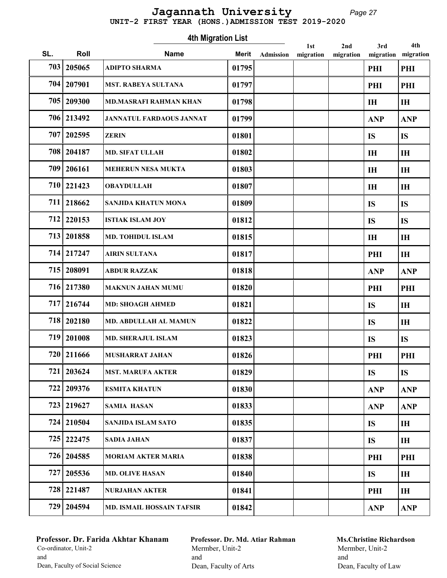#### Page 27 UNIT-2 FIRST YEAR (HONS.)ADMISSION TEST 2019-2020 Jagannath University

Roll Mame Marit 1st SL. Roll **Name** Merit Admission migration 4th Migration List Admission 2nd migration 3rd migration 4th migration 703 205065 ADIPTO SHARMA 01795 PHI PHI 704 207901 MST. RABEYA SULTANA 01797 PHI PHI 705 209300 MD.MASRAFI RAHMAN KHAN 01798 IH IH 706 213492 JANNATUL FARDAOUS JANNAT 101799 11 ANP ANP ANP 707 202595 ZERIN 01801 | IS IS 708 204187 MD. SIFAT ULLAH 01802 IH IH 709 206161 MEHERUN NESA MUKTA 01803 IH IH 710 221423 OBAYDULLAH 01807 01807 IH IH 711 218662 SANJIDA KHATUN MONA 01809 IS IS 712 220153 ISTIAK ISLAM JOY 01812 IS IS IS 713 201858 MD. TOHIDUL ISLAM 01815 101815 IH IH IH 714 217247 AIRIN SULTANA 01817 PHI IH 715 208091 ABDUR RAZZAK 01818 | 01818 | ANP ANP 716 217380 MAKNUN JAHAN MUMU 01820 PHI PHI 717 216744 MD: SHOAGH AHMED 01821 IS IH 718 202180 MD. ABDULLAH AL MAMUN 01822 15 IS IH 719 201008 MD. SHERAJUL ISLAM 01823 IS IS 720 211666 MUSHARRAT JAHAN 01826 PHI PHI 721 203624 MST. MARUFA AKTER 01829 IS IS 722 209376 ESMITA KHATUN 01830 ANP ANP ANP 723 219627 SAMIA HASAN 01833 ANP ANP ANP 724 210504 SANJIDA ISLAM SATO 01835 IS IH 725 222475 SADIA JAHAN 01837 IS IH 726 204585 MORIAM AKTER MARIA 01838 PHI PHI 727 205536 MD. OLIVE HASAN 01840 IS IH 728 221487 NURJAHAN AKTER 01841 PHI IH 729 204594 MD. ISMAIL HOSSAIN TAFSIR 01842 ANP ANP

## Professor. Dr. Farida Akhtar Khanam Co-ordinator, Unit-2 and Dean, Faculty of Social Science

Professor. Dr. Md. Atiar Rahman Mermber, Unit-2 and Dean, Faculty of Arts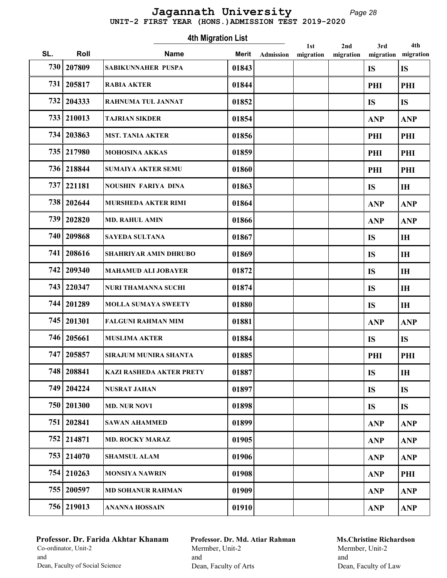# UNIT-2 FIRST YEAR (HONS.)ADMISSION TEST 2019-2020 Jagannath University

Page 28

|            |              | <b>4th Migration List</b>       |              |           | 1st       | 2nd       | 3rd        | 4th            |
|------------|--------------|---------------------------------|--------------|-----------|-----------|-----------|------------|----------------|
| SL.        | Roll         | <b>Name</b>                     | <b>Merit</b> | Admission | migration | migration | migration  | migration      |
| <b>730</b> | 207809       | SABIKUNNAHER PUSPA              | 01843        |           |           |           | <b>IS</b>  | <b>IS</b>      |
| 731        | 205817       | <b>RABIA AKTER</b>              | 01844        |           |           |           | PHI        | PHI            |
| 732        | 204333       | RAHNUMA TUL JANNAT              | 01852        |           |           |           | <b>IS</b>  | <b>IS</b>      |
| 733        | 210013       | <b>TAJRIAN SIKDER</b>           | 01854        |           |           |           | <b>ANP</b> | <b>ANP</b>     |
|            | 734 203863   | <b>MST. TANIA AKTER</b>         | 01856        |           |           |           | PHI        | PHI            |
|            | 735 217980   | MOHOSINA AKKAS                  | 01859        |           |           |           | PHI        | PHI            |
|            | 736 218844   | <b>SUMAIYA AKTER SEMU</b>       | 01860        |           |           |           | PHI        | PHI            |
| 737        | 221181       | <b>NOUSHIN FARIYA DINA</b>      | 01863        |           |           |           | <b>IS</b>  | IH             |
| 738        | 202644       | <b>MURSHEDA AKTER RIMI</b>      | 01864        |           |           |           | <b>ANP</b> | <b>ANP</b>     |
| 739        | 202820       | <b>MD. RAHUL AMIN</b>           | 01866        |           |           |           | <b>ANP</b> | <b>ANP</b>     |
| 740        | 209868       | <b>SAYEDA SULTANA</b>           | 01867        |           |           |           | <b>IS</b>  | IH             |
| 741        | 208616       | SHAHRIYAR AMIN DHRUBO           | 01869        |           |           |           | <b>IS</b>  | IH             |
| 742        | 209340       | <b>MAHAMUD ALI JOBAYER</b>      | 01872        |           |           |           | <b>IS</b>  | <b>IH</b>      |
|            | 743 220347   | <b>NURI THAMANNA SUCHI</b>      | 01874        |           |           |           | <b>IS</b>  | IH             |
| 744        | 201289       | <b>MOLLA SUMAYA SWEETY</b>      | 01880        |           |           |           | <b>IS</b>  | <b>IH</b>      |
| 745        | 201301       | <b>FALGUNI RAHMAN MIM</b>       | 01881        |           |           |           | <b>ANP</b> | <b>ANP</b>     |
| 746        | 205661       | <b>MUSLIMA AKTER</b>            | 01884        |           |           |           | <b>IS</b>  | <b>IS</b>      |
|            | 747   205857 | SIRAJUM MUNIRA SHANTA           | 01885        |           |           |           | PHI        | PHI            |
|            | 748   208841 | <b>KAZI RASHEDA AKTER PRETY</b> | 01887        |           |           |           | <b>IS</b>  | I <sub>H</sub> |
|            | 749 204224   | <b>NUSRAT JAHAN</b>             | 01897        |           |           |           | <b>IS</b>  | <b>IS</b>      |
|            | 750   201300 | <b>MD. NUR NOVI</b>             | 01898        |           |           |           | <b>IS</b>  | <b>IS</b>      |
|            | 751   202841 | <b>SAWAN AHAMMED</b>            | 01899        |           |           |           | <b>ANP</b> | <b>ANP</b>     |
|            | 752 214871   | <b>MD. ROCKY MARAZ</b>          | 01905        |           |           |           | <b>ANP</b> | <b>ANP</b>     |
|            | 753   214070 | <b>SHAMSUL ALAM</b>             | 01906        |           |           |           | <b>ANP</b> | <b>ANP</b>     |
|            | 754 210263   | <b>MONSIYA NAWRIN</b>           | 01908        |           |           |           | <b>ANP</b> | PHI            |
|            | 755 200597   | <b>MD SOHANUR RAHMAN</b>        | 01909        |           |           |           | <b>ANP</b> | <b>ANP</b>     |
|            | 756 219013   | <b>ANANNA HOSSAIN</b>           | 01910        |           |           |           | <b>ANP</b> | <b>ANP</b>     |

# Professor. Dr. Farida Akhtar Khanam Co-ordinator, Unit-2 and Dean, Faculty of Social Science

Professor. Dr. Md. Atiar Rahman Mermber, Unit-2 and Dean, Faculty of Arts